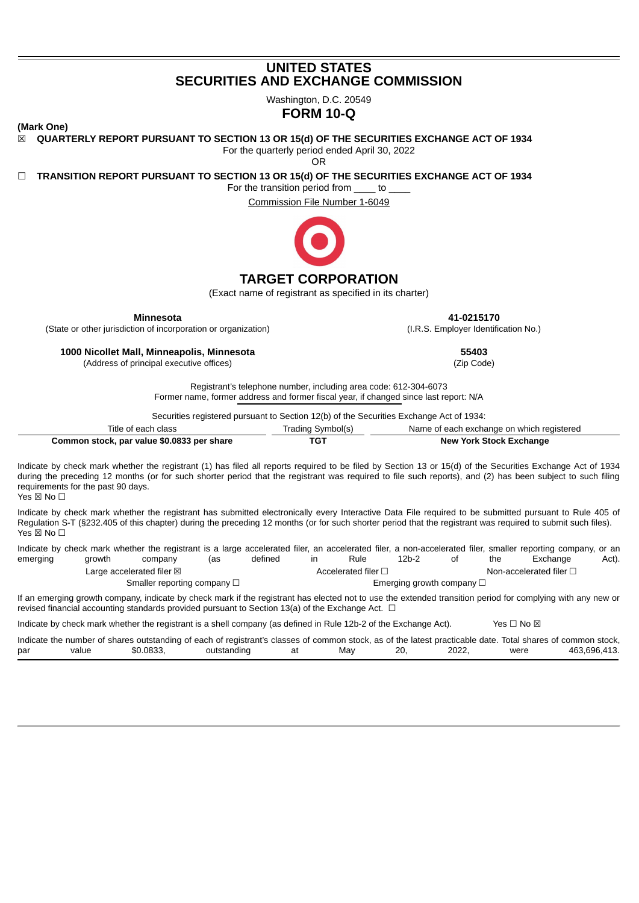# **UNITED STATES SECURITIES AND EXCHANGE COMMISSION**

Washington, D.C. 20549

# **FORM 10-Q**

**(Mark One)**

☒ **QUARTERLY REPORT PURSUANT TO SECTION 13 OR 15(d) OF THE SECURITIES EXCHANGE ACT OF 1934**

For the quarterly period ended April 30, 2022

OR

☐ **TRANSITION REPORT PURSUANT TO SECTION 13 OR 15(d) OF THE SECURITIES EXCHANGE ACT OF 1934**

For the transition period from to

Commission File Number 1-6049



# **TARGET CORPORATION**

(Exact name of registrant as specified in its charter)

**Minnesota**

(State or other jurisdiction of incorporation or organization)

**1000 Nicollet Mall, Minneapolis, Minnesota**

(Address of principal executive offices)

**41-0215170** (I.R.S. Employer Identification No.)

**55403**

(Zip Code)

Registrant's telephone number, including area code: 612-304-6073 Former name, former address and former fiscal year, if changed since last report: N/A

Securities registered pursuant to Section 12(b) of the Securities Exchange Act of 1934:

| Title of each class                        | Trading Symbol(s) | Name of each exchange on which registered |
|--------------------------------------------|-------------------|-------------------------------------------|
| Common stock, par value \$0.0833 per share | TGT               | <b>New York Stock Exchange</b>            |

Indicate by check mark whether the registrant (1) has filed all reports required to be filed by Section 13 or 15(d) of the Securities Exchange Act of 1934 during the preceding 12 months (or for such shorter period that the registrant was required to file such reports), and (2) has been subject to such filing requirements for the past 90 days.

Yes ⊠ No □

Indicate by check mark whether the registrant has submitted electronically every Interactive Data File required to be submitted pursuant to Rule 405 of Regulation S-T (§232.405 of this chapter) during the preceding 12 months (or for such shorter period that the registrant was required to submit such files). Yes ⊠ No □

Indicate by check mark whether the registrant is a large accelerated filer, an accelerated filer, a non-accelerated filer, smaller reporting company, or an emerging growth company (as defined in Rule 12b-2 of the Exchange Act). Large accelerated filer ⊠ accelerated filer □ Accelerated filer □ Non-accelerated filer □ Smaller reporting company □ <br>
■ Emerging growth company □

If an emerging growth company, indicate by check mark if the registrant has elected not to use the extended transition period for complying with any new or revised financial accounting standards provided pursuant to Section 13(a) of the Exchange Act.  $\Box$ 

Indicate by check mark whether the registrant is a shell company (as defined in Rule 12b-2 of the Exchange Act). Yes  $\Box$  No  $\boxtimes$ 

<span id="page-0-0"></span>

|     |       |           | Indicate the number of shares outstanding of each of registrant's classes of common stock, as of the latest practicable date. Total shares of common stock, |     |     |       |      |              |
|-----|-------|-----------|-------------------------------------------------------------------------------------------------------------------------------------------------------------|-----|-----|-------|------|--------------|
| par | value | \$0.0833. | outstanding                                                                                                                                                 | Mav | 20. | 2022. | were | 463.696.413. |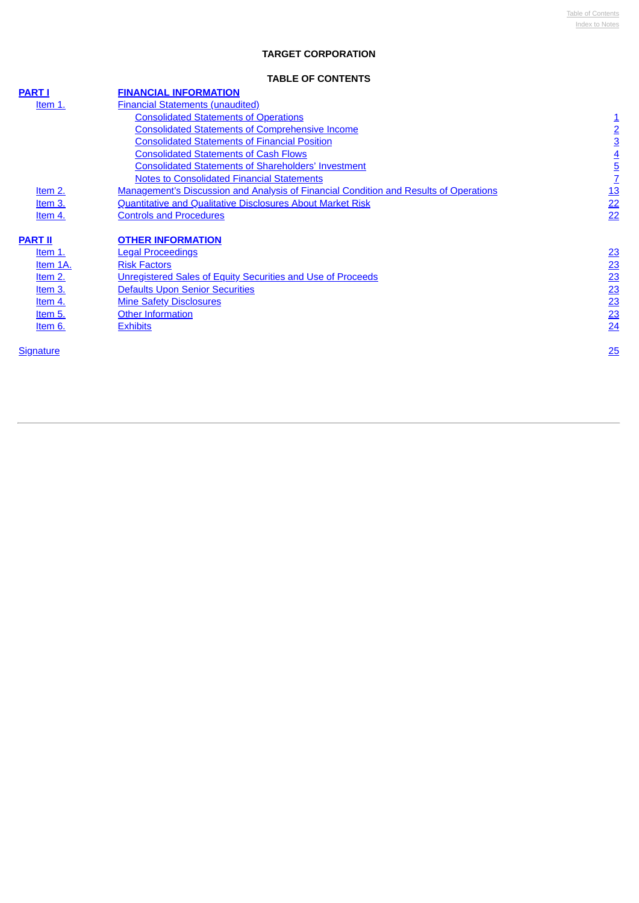# **TARGET CORPORATION**

## **TABLE OF CONTENTS**

<span id="page-1-0"></span>

| <b>PART I</b>    | <b>FINANCIAL INFORMATION</b>                                                                 |                 |
|------------------|----------------------------------------------------------------------------------------------|-----------------|
| Item $1$ .       | <b>Financial Statements (unaudited)</b>                                                      |                 |
|                  | <b>Consolidated Statements of Operations</b>                                                 | $\overline{1}$  |
|                  | <b>Consolidated Statements of Comprehensive Income</b>                                       | $\overline{2}$  |
|                  | <b>Consolidated Statements of Financial Position</b>                                         | $\overline{3}$  |
|                  | <b>Consolidated Statements of Cash Flows</b>                                                 | $\overline{4}$  |
|                  | <b>Consolidated Statements of Shareholders' Investment</b>                                   | <u>5</u>        |
|                  | <b>Notes to Consolidated Financial Statements</b>                                            | $\overline{1}$  |
| Item 2.          | <b>Management's Discussion and Analysis of Financial Condition and Results of Operations</b> | <u>13</u>       |
| Item 3.          | <b>Quantitative and Qualitative Disclosures About Market Risk</b>                            | 22              |
| Item 4.          | <b>Controls and Procedures</b>                                                               | 22              |
|                  |                                                                                              |                 |
| <b>PART II</b>   | <b>OTHER INFORMATION</b>                                                                     |                 |
| Item 1.          | <b>Legal Proceedings</b>                                                                     | 23              |
| Item 1A.         | <b>Risk Factors</b>                                                                          |                 |
| Item 2.          | Unregistered Sales of Equity Securities and Use of Proceeds                                  | $\frac{23}{23}$ |
| Item 3.          | <b>Defaults Upon Senior Securities</b>                                                       | 23              |
| Item 4.          | <b>Mine Safety Disclosures</b>                                                               | 23              |
| Item 5.          | <b>Other Information</b>                                                                     | 23              |
| Item 6.          | <b>Exhibits</b>                                                                              | 24              |
|                  |                                                                                              |                 |
| <b>Signature</b> |                                                                                              | 25              |
|                  |                                                                                              |                 |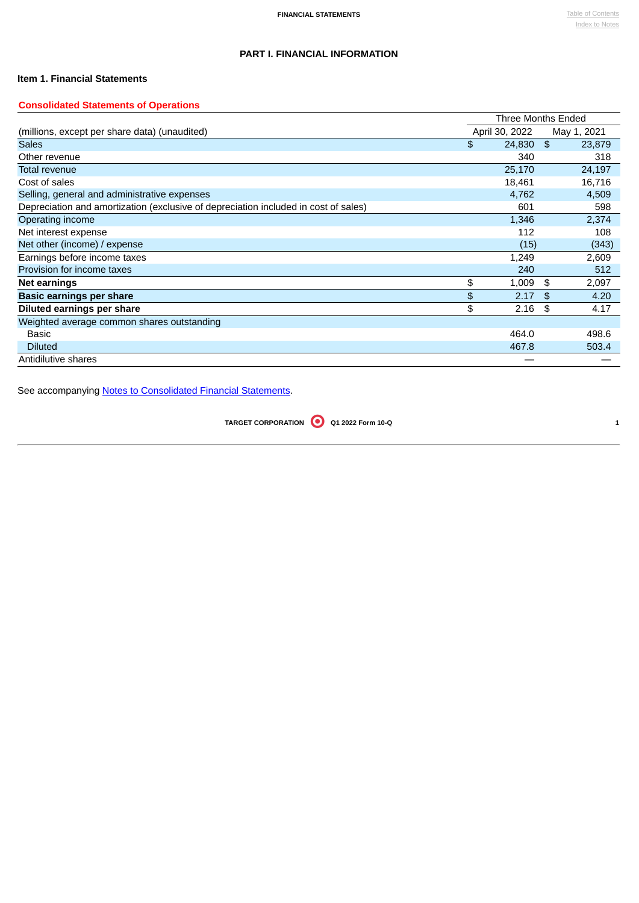# **PART I. FINANCIAL INFORMATION**

## <span id="page-2-0"></span>**Item 1. Financial Statements**

## <span id="page-2-1"></span>**Consolidated Statements of Operations**

|                                                                                     | <b>Three Months Ended</b> |              |
|-------------------------------------------------------------------------------------|---------------------------|--------------|
| (millions, except per share data) (unaudited)                                       | April 30, 2022            | May 1, 2021  |
| <b>Sales</b>                                                                        | \$<br>24,830              | \$<br>23,879 |
| Other revenue                                                                       | 340                       | 318          |
| <b>Total revenue</b>                                                                | 25,170                    | 24,197       |
| Cost of sales                                                                       | 18,461                    | 16,716       |
| Selling, general and administrative expenses                                        | 4,762                     | 4,509        |
| Depreciation and amortization (exclusive of depreciation included in cost of sales) | 601                       | 598          |
| Operating income                                                                    | 1,346                     | 2,374        |
| Net interest expense                                                                | 112                       | 108          |
| Net other (income) / expense                                                        | (15)                      | (343)        |
| Earnings before income taxes                                                        | 1,249                     | 2,609        |
| Provision for income taxes                                                          | 240                       | 512          |
| Net earnings                                                                        | \$<br>1,009               | \$<br>2,097  |
| Basic earnings per share                                                            | \$<br>2.17                | \$<br>4.20   |
| Diluted earnings per share                                                          | \$<br>2.16                | \$<br>4.17   |
| Weighted average common shares outstanding                                          |                           |              |
| <b>Basic</b>                                                                        | 464.0                     | 498.6        |
| <b>Diluted</b>                                                                      | 467.8                     | 503.4        |
| Antidilutive shares                                                                 |                           |              |

<span id="page-2-2"></span>See accompanying Notes to [Consolidated](#page-8-0) Financial Statements.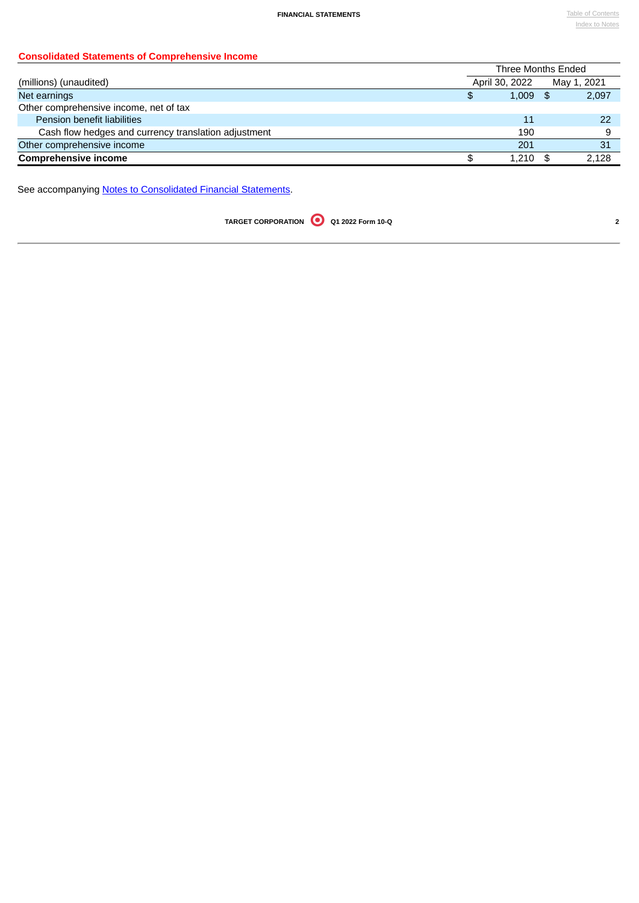# **Consolidated Statements of Comprehensive Income**

|                                                      | Three Months Ended |             |
|------------------------------------------------------|--------------------|-------------|
| (millions) (unaudited)                               | April 30, 2022     | May 1, 2021 |
| Net earnings                                         | \$<br>$1.009$ \$   | 2,097       |
| Other comprehensive income, net of tax               |                    |             |
| Pension benefit liabilities                          | 11                 | 22          |
| Cash flow hedges and currency translation adjustment | 190                |             |
| Other comprehensive income                           | 201                | 31          |
| <b>Comprehensive income</b>                          | 1.210              | 2.128       |

<span id="page-3-0"></span>See accompanying **Notes to [Consolidated](#page-8-0) Financial Statements**.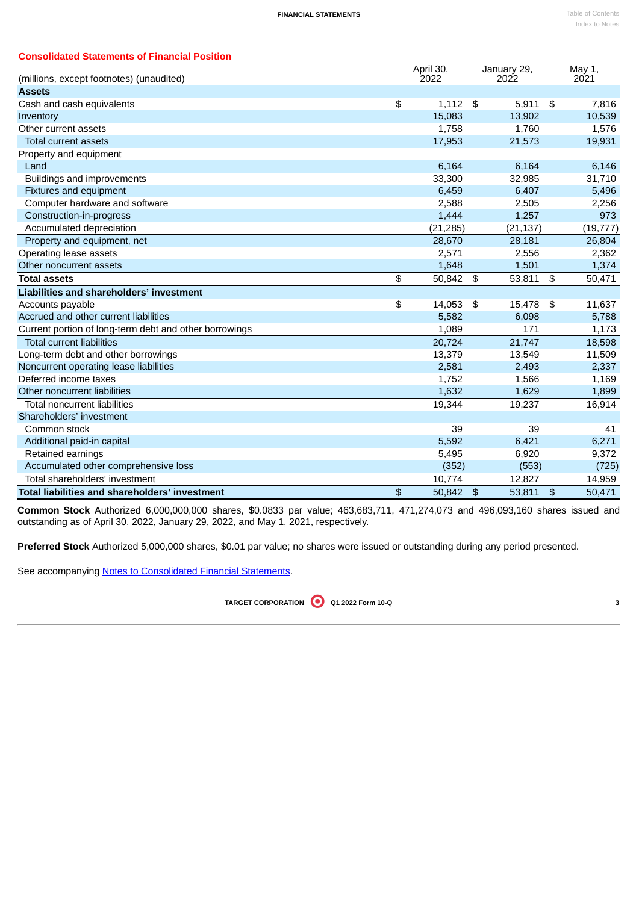| <b>Consolidated Statements of Financial Position</b>      |                   |                            |                     |                |
|-----------------------------------------------------------|-------------------|----------------------------|---------------------|----------------|
|                                                           | April 30,<br>2022 |                            | January 29,<br>2022 | May 1,<br>2021 |
| (millions, except footnotes) (unaudited)<br><b>Assets</b> |                   |                            |                     |                |
| Cash and cash equivalents                                 | \$<br>1,112       | \$                         | 5,911               | \$<br>7,816    |
| Inventory                                                 | 15,083            |                            | 13,902              | 10,539         |
| Other current assets                                      | 1,758             |                            | 1,760               | 1,576          |
| <b>Total current assets</b>                               | 17,953            |                            | 21,573              | 19,931         |
| Property and equipment                                    |                   |                            |                     |                |
| Land                                                      | 6,164             |                            | 6,164               | 6,146          |
| Buildings and improvements                                | 33,300            |                            | 32,985              | 31,710         |
| Fixtures and equipment                                    | 6,459             |                            | 6,407               | 5,496          |
| Computer hardware and software                            | 2,588             |                            | 2,505               | 2,256          |
| Construction-in-progress                                  | 1,444             |                            | 1,257               | 973            |
| Accumulated depreciation                                  | (21, 285)         |                            | (21, 137)           | (19, 777)      |
| Property and equipment, net                               | 28,670            |                            | 28,181              | 26,804         |
| Operating lease assets                                    | 2,571             |                            | 2,556               | 2,362          |
| Other noncurrent assets                                   | 1.648             |                            | 1,501               | 1,374          |
| <b>Total assets</b>                                       | \$<br>50,842      | \$                         | 53,811              | \$<br>50,471   |
| <b>Liabilities and shareholders' investment</b>           |                   |                            |                     |                |
| Accounts payable                                          | \$<br>14,053      | $\boldsymbol{\mathsf{\$}}$ | 15,478              | \$<br>11,637   |
| Accrued and other current liabilities                     | 5,582             |                            | 6,098               | 5,788          |
| Current portion of long-term debt and other borrowings    | 1,089             |                            | 171                 | 1,173          |
| <b>Total current liabilities</b>                          | 20,724            |                            | 21,747              | 18,598         |
| Long-term debt and other borrowings                       | 13,379            |                            | 13,549              | 11,509         |
| Noncurrent operating lease liabilities                    | 2,581             |                            | 2,493               | 2,337          |
| Deferred income taxes                                     | 1,752             |                            | 1,566               | 1,169          |
| Other noncurrent liabilities                              | 1,632             |                            | 1,629               | 1,899          |
| <b>Total noncurrent liabilities</b>                       | 19,344            |                            | 19,237              | 16,914         |
| Shareholders' investment                                  |                   |                            |                     |                |
| Common stock                                              | 39                |                            | 39                  | 41             |
| Additional paid-in capital                                | 5,592             |                            | 6,421               | 6,271          |
| Retained earnings                                         | 5,495             |                            | 6,920               | 9,372          |
| Accumulated other comprehensive loss                      | (352)             |                            | (553)               | (725)          |
| Total shareholders' investment                            | 10,774            |                            | 12,827              | 14,959         |
| <b>Total liabilities and shareholders' investment</b>     | \$<br>50,842 \$   |                            | 53,811              | \$<br>50,471   |

**Common Stock** Authorized 6,000,000,000 shares, \$0.0833 par value; 463,683,711, 471,274,073 and 496,093,160 shares issued and outstanding as of April 30, 2022, January 29, 2022, and May 1, 2021, respectively.

**Preferred Stock** Authorized 5,000,000 shares, \$0.01 par value; no shares were issued or outstanding during any period presented.

<span id="page-4-0"></span>See accompanying Notes to [Consolidated](#page-8-0) Financial Statements.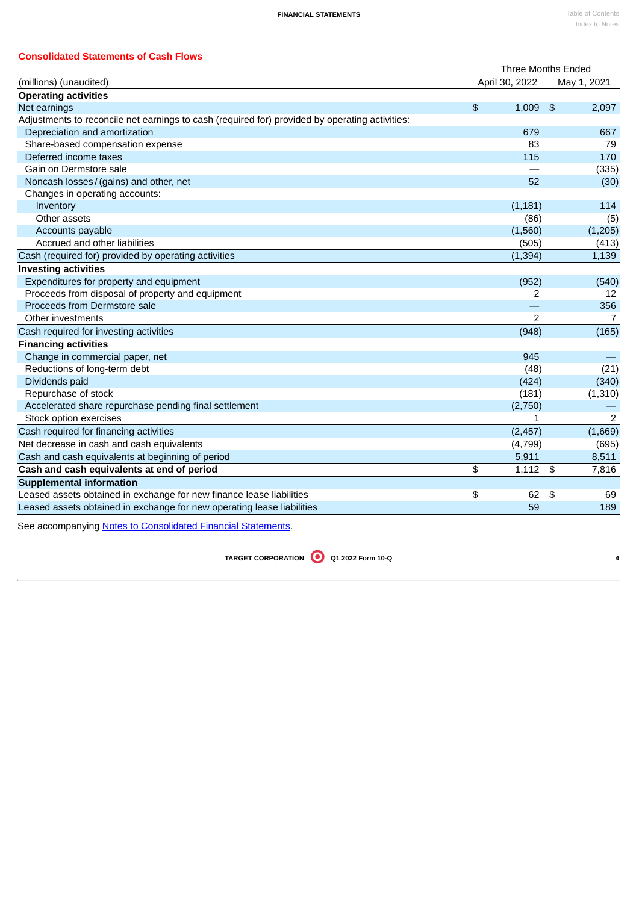| <b>Consolidated Statements of Cash Flows</b> |                    |             |
|----------------------------------------------|--------------------|-------------|
|                                              | Three Months Ended |             |
| (millions) (unaudited)                       | April 30, 2022     | May 1, 2021 |

| <b>Operating activities</b>                                                                    |             |             |
|------------------------------------------------------------------------------------------------|-------------|-------------|
| Net earnings                                                                                   | \$<br>1,009 | \$<br>2,097 |
| Adjustments to reconcile net earnings to cash (required for) provided by operating activities: |             |             |
| Depreciation and amortization                                                                  | 679         | 667         |
| Share-based compensation expense                                                               | 83          | 79          |
| Deferred income taxes                                                                          | 115         | 170         |
| Gain on Dermstore sale                                                                         |             | (335)       |
| Noncash losses / (gains) and other, net                                                        | 52          | (30)        |
| Changes in operating accounts:                                                                 |             |             |
| Inventory                                                                                      | (1, 181)    | 114         |
| Other assets                                                                                   | (86)        | (5)         |
| Accounts payable                                                                               | (1,560)     | (1, 205)    |
| Accrued and other liabilities                                                                  | (505)       | (413)       |
| Cash (required for) provided by operating activities                                           | (1, 394)    | 1,139       |
| <b>Investing activities</b>                                                                    |             |             |
| Expenditures for property and equipment                                                        | (952)       | (540)       |
| Proceeds from disposal of property and equipment                                               | 2           | 12          |
| Proceeds from Dermstore sale                                                                   |             | 356         |
| Other investments                                                                              | 2           | 7           |
| Cash required for investing activities                                                         | (948)       | (165)       |
| <b>Financing activities</b>                                                                    |             |             |
| Change in commercial paper, net                                                                | 945         |             |
| Reductions of long-term debt                                                                   | (48)        | (21)        |
| Dividends paid                                                                                 | (424)       | (340)       |
| Repurchase of stock                                                                            | (181)       | (1, 310)    |
| Accelerated share repurchase pending final settlement                                          | (2,750)     |             |
| Stock option exercises                                                                         | 1           | 2           |
| Cash required for financing activities                                                         | (2, 457)    | (1,669)     |
| Net decrease in cash and cash equivalents                                                      | (4, 799)    | (695)       |
| Cash and cash equivalents at beginning of period                                               | 5,911       | 8,511       |
| Cash and cash equivalents at end of period                                                     | \$<br>1,112 | \$<br>7,816 |
| <b>Supplemental information</b>                                                                |             |             |
| Leased assets obtained in exchange for new finance lease liabilities                           | \$<br>62    | \$<br>69    |
| Leased assets obtained in exchange for new operating lease liabilities                         | 59          | 189         |
|                                                                                                |             |             |

<span id="page-5-0"></span>See accompanying Notes to [Consolidated](#page-8-0) Financial Statements.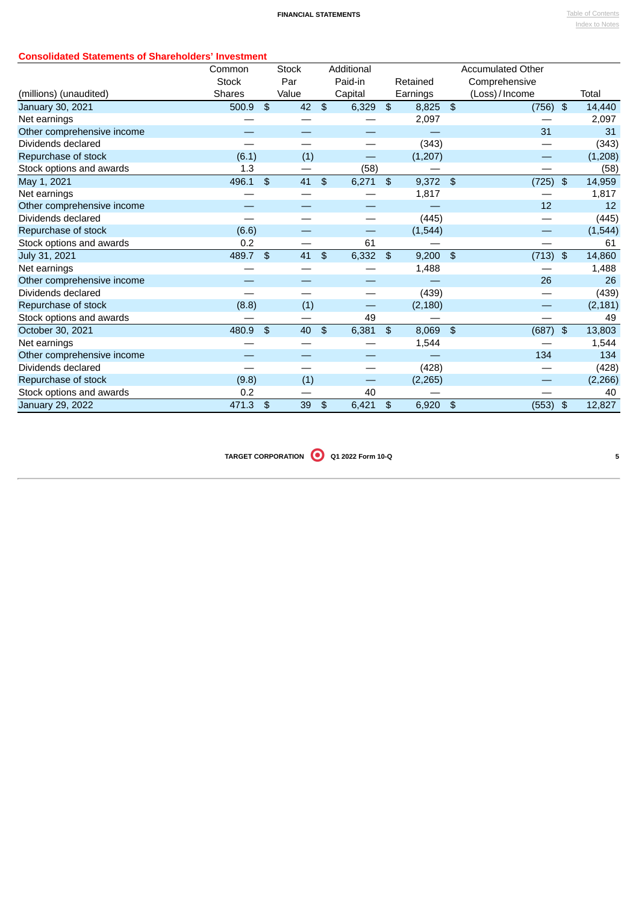## **Consolidated Statements of Shareholders' Investment**

| <b>JIAIGHIGHIS OF JHAFGHUIGHS INVESINGHI</b> | Common        |                | <b>Stock</b> |                | Additional |               |            | <b>Accumulated Other</b> |               |          |
|----------------------------------------------|---------------|----------------|--------------|----------------|------------|---------------|------------|--------------------------|---------------|----------|
|                                              | <b>Stock</b>  |                | Par          |                | Paid-in    |               | Retained   | Comprehensive            |               |          |
| (millions) (unaudited)                       | <b>Shares</b> |                | Value        |                | Capital    |               | Earnings   | (Loss) / Income          |               | Total    |
| January 30, 2021                             | 500.9         | \$             | 42           | $\mathfrak{S}$ | 6,329      | \$            | 8,825      | \$<br>(756)              | $\frac{4}{5}$ | 14,440   |
| Net earnings                                 |               |                |              |                |            |               | 2,097      |                          |               | 2,097    |
| Other comprehensive income                   |               |                |              |                |            |               |            | 31                       |               | 31       |
| Dividends declared                           |               |                |              |                |            |               | (343)      |                          |               | (343)    |
| Repurchase of stock                          | (6.1)         |                | (1)          |                |            |               | (1,207)    |                          |               | (1,208)  |
| Stock options and awards                     | 1.3           |                |              |                | (58)       |               |            |                          |               | (58)     |
| May 1, 2021                                  | 496.1         | - \$           | 41           | \$             | 6,271      | - \$          | $9,372$ \$ | (725)                    | \$            | 14,959   |
| Net earnings                                 |               |                |              |                |            |               | 1,817      |                          |               | 1,817    |
| Other comprehensive income                   |               |                |              |                |            |               |            | 12                       |               | 12       |
| Dividends declared                           |               |                |              |                |            |               | (445)      |                          |               | (445)    |
| Repurchase of stock                          | (6.6)         |                |              |                | —          |               | (1,544)    |                          |               | (1, 544) |
| Stock options and awards                     | 0.2           |                |              |                | 61         |               |            |                          |               | 61       |
| July 31, 2021                                | 489.7         | $\mathfrak{B}$ | 41           | \$             | 6,332      | \$            | $9,200$ \$ | (713)                    | \$            | 14,860   |
| Net earnings                                 |               |                |              |                |            |               | 1,488      |                          |               | 1,488    |
| Other comprehensive income                   |               |                |              |                |            |               |            | 26                       |               | 26       |
| Dividends declared                           |               |                |              |                |            |               | (439)      |                          |               | (439)    |
| Repurchase of stock                          | (8.8)         |                | (1)          |                | --         |               | (2, 180)   |                          |               | (2, 181) |
| Stock options and awards                     |               |                |              |                | 49         |               |            |                          |               | 49       |
| October 30, 2021                             | 480.9         | $\mathfrak{F}$ | 40           | $\frac{4}{5}$  | 6,381      | \$            | 8,069      | \$<br>(687)              | $\frac{1}{2}$ | 13,803   |
| Net earnings                                 |               |                |              |                |            |               | 1,544      |                          |               | 1,544    |
| Other comprehensive income                   |               |                |              |                |            |               |            | 134                      |               | 134      |
| Dividends declared                           |               |                |              |                |            |               | (428)      |                          |               | (428)    |
| Repurchase of stock                          | (9.8)         |                | (1)          |                | --         |               | (2, 265)   |                          |               | (2, 266) |
| Stock options and awards                     | 0.2           |                |              |                | 40         |               |            |                          |               | 40       |
| January 29, 2022                             | 471.3         | \$             | 39           | \$             | 6,421      | $\frac{4}{5}$ | 6,920      | \$<br>(553)              | \$            | 12,827   |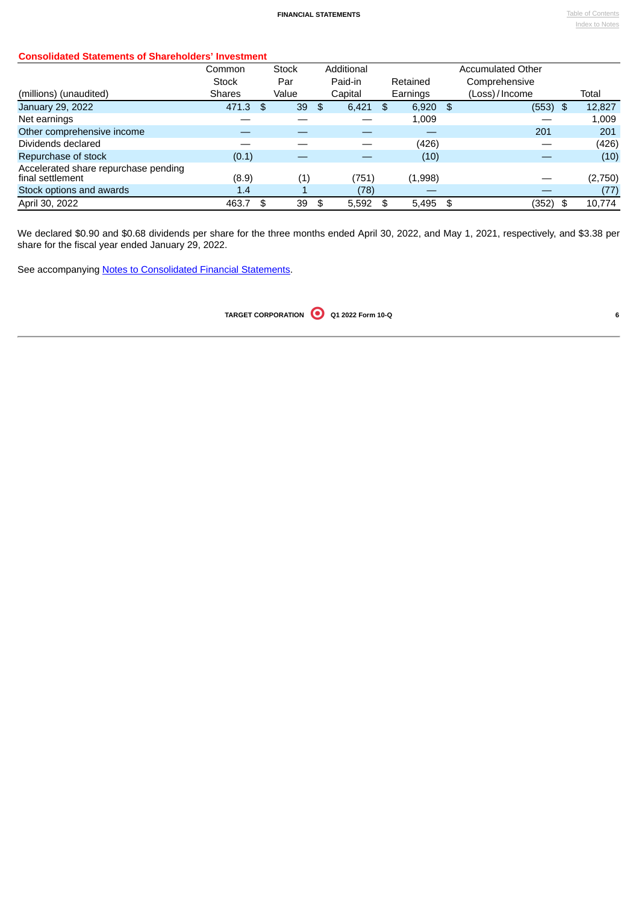| <b>Consolidated Statements of Shareholders' Investment</b> |  |
|------------------------------------------------------------|--|
|                                                            |  |

| Consolidated Otalenichts of Onaferolders Threstinent     |               |                     |             |             |                          |         |
|----------------------------------------------------------|---------------|---------------------|-------------|-------------|--------------------------|---------|
|                                                          | Common        | <b>Stock</b>        | Additional  |             | <b>Accumulated Other</b> |         |
|                                                          | <b>Stock</b>  | Par                 | Paid-in     | Retained    | Comprehensive            |         |
| (millions) (unaudited)                                   | <b>Shares</b> | Value               | Capital     | Earnings    | (Loss)/Income            | Total   |
| January 29, 2022                                         | 471.3         | \$<br>39            | \$<br>6,421 | \$<br>6,920 | \$<br>$(553)$ \$         | 12,827  |
| Net earnings                                             |               |                     |             | 1.009       |                          | 1,009   |
| Other comprehensive income                               |               |                     |             |             | 201                      | 201     |
| Dividends declared                                       |               |                     |             | (426)       |                          | (426)   |
| Repurchase of stock                                      | (0.1)         |                     |             | (10)        |                          | (10)    |
| Accelerated share repurchase pending<br>final settlement | (8.9)         | $\scriptstyle{(1)}$ | (751)       | (1,998)     |                          | (2,750) |
| Stock options and awards                                 | 1.4           |                     | (78)        |             |                          | (77)    |
| April 30, 2022                                           | 463.7         | \$<br>39            | \$<br>5,592 | \$<br>5,495 | \$<br>(352)<br>- \$      | 10,774  |

We declared \$0.90 and \$0.68 dividends per share for the three months ended April 30, 2022, and May 1, 2021, respectively, and \$3.38 per share for the fiscal year ended January 29, 2022.

See accompanying Notes to [Consolidated](#page-8-0) Financial Statements.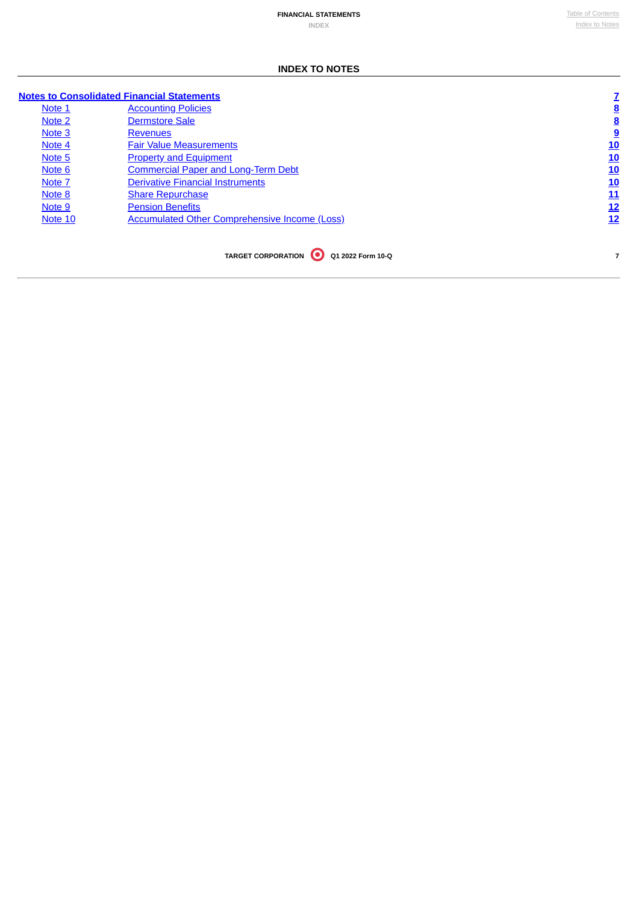## **INDEX TO NOTES**

# <span id="page-8-0"></span>**Notes to [Consolidated](#page-8-1) Financial Statements [7](#page-8-0)**

<span id="page-8-1"></span>

| Note 1  | <b>Accounting Policies</b>                           | <u>8</u>   |
|---------|------------------------------------------------------|------------|
| Note 2  | <b>Dermstore Sale</b>                                | <u>8</u>   |
| Note 3  | <b>Revenues</b>                                      | <u>9</u>   |
| Note 4  | <b>Fair Value Measurements</b>                       | 10         |
| Note 5  | <b>Property and Equipment</b>                        | 10         |
| Note 6  | <b>Commercial Paper and Long-Term Debt</b>           | 10         |
| Note 7  | <b>Derivative Financial Instruments</b>              | <u>10</u>  |
| Note 8  | <b>Share Repurchase</b>                              | 11         |
| Note 9  | <b>Pension Benefits</b>                              | <u> 12</u> |
| Note 10 | <b>Accumulated Other Comprehensive Income (Loss)</b> | 12         |
|         |                                                      |            |
|         |                                                      |            |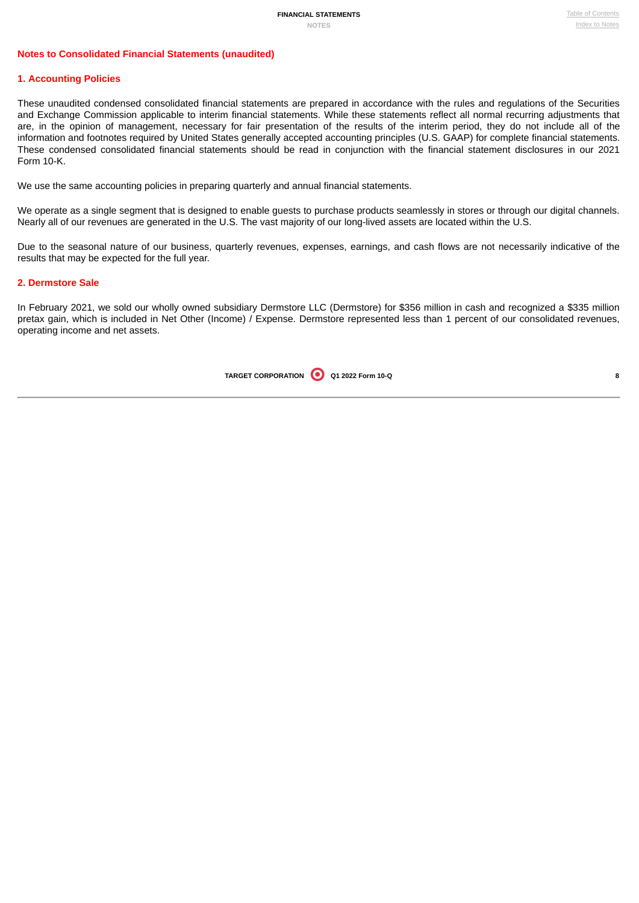## **Notes to Consolidated Financial Statements (unaudited)**

### <span id="page-9-0"></span>**1. Accounting Policies**

These unaudited condensed consolidated financial statements are prepared in accordance with the rules and regulations of the Securities and Exchange Commission applicable to interim financial statements. While these statements reflect all normal recurring adjustments that are, in the opinion of management, necessary for fair presentation of the results of the interim period, they do not include all of the information and footnotes required by United States generally accepted accounting principles (U.S. GAAP) for complete financial statements. These condensed consolidated financial statements should be read in conjunction with the financial statement disclosures in our 2021 Form 10-K.

We use the same accounting policies in preparing quarterly and annual financial statements.

We operate as a single segment that is designed to enable guests to purchase products seamlessly in stores or through our digital channels. Nearly all of our revenues are generated in the U.S. The vast majority of our long-lived assets are located within the U.S.

Due to the seasonal nature of our business, quarterly revenues, expenses, earnings, and cash flows are not necessarily indicative of the results that may be expected for the full year.

#### <span id="page-9-1"></span>**2. Dermstore Sale**

<span id="page-9-2"></span>In February 2021, we sold our wholly owned subsidiary Dermstore LLC (Dermstore) for \$356 million in cash and recognized a \$335 million pretax gain, which is included in Net Other (Income) / Expense. Dermstore represented less than 1 percent of our consolidated revenues, operating income and net assets.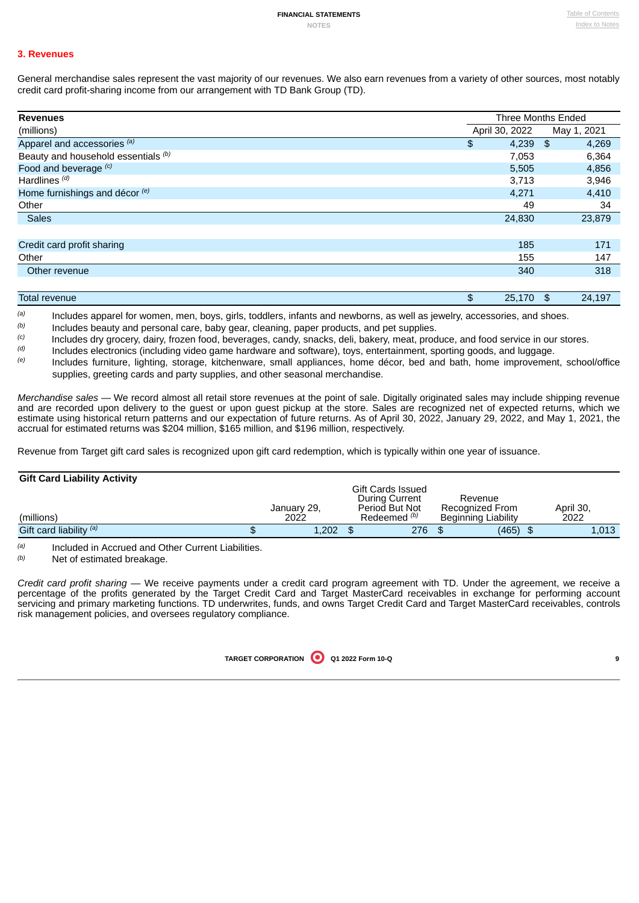## **3. Revenues**

General merchandise sales represent the vast majority of our revenues. We also earn revenues from a variety of other sources, most notably credit card profit-sharing income from our arrangement with TD Bank Group (TD).

| <b>Revenues</b>                     |                | Three Months Ended |
|-------------------------------------|----------------|--------------------|
| (millions)                          | April 30, 2022 | May 1, 2021        |
| Apparel and accessories (a)         | \$<br>4,239    | 4,269<br>- \$      |
| Beauty and household essentials (b) | 7,053          | 6,364              |
| Food and beverage (c)               | 5,505          | 4,856              |
| Hardlines <sup>(d)</sup>            | 3,713          | 3,946              |
| Home furnishings and décor (e)      | 4,271          | 4,410              |
| Other                               | 49             | 34                 |
| <b>Sales</b>                        | 24,830         | 23,879             |
|                                     |                |                    |
| Credit card profit sharing          | 185            | 171                |
| Other                               | 155            | 147                |
| Other revenue                       | 340            | 318                |
|                                     |                |                    |
| <b>Total revenue</b>                | 25,170<br>\$   | 24,197<br>\$       |

Includes apparel for women, men, boys, girls, toddlers, infants and newborns, as well as jewelry, accessories, and shoes. *(a)*

Includes beauty and personal care, baby gear, cleaning, paper products, and pet supplies. *(b)*

Includes dry grocery, dairy, frozen food, beverages, candy, snacks, deli, bakery, meat, produce, and food service in our stores. *(c)*

Includes electronics (including video game hardware and software), toys, entertainment, sporting goods, and luggage. *(d)*

Includes furniture, lighting, storage, kitchenware, small appliances, home décor, bed and bath, home improvement, school/office supplies, greeting cards and party supplies, and other seasonal merchandise. *(e)*

*Merchandise sales —* We record almost all retail store revenues at the point of sale. Digitally originated sales may include shipping revenue and are recorded upon delivery to the guest or upon guest pickup at the store. Sales are recognized net of expected returns, which we estimate using historical return patterns and our expectation of future returns. As of April 30, 2022, January 29, 2022, and May 1, 2021, the accrual for estimated returns was \$204 million, \$165 million, and \$196 million, respectively.

Revenue from Target gift card sales is recognized upon gift card redemption, which is typically within one year of issuance.

### **Gift Card Liability Activity**

| (millions)              | January 29,<br>2022 | Gift Cards Issued<br>During Current<br>Period But Not<br>Redeemed <sup>(b)</sup> | Revenue<br>Recognized From<br><b>Beginning Liability</b> | April 30.<br>2022 |
|-------------------------|---------------------|----------------------------------------------------------------------------------|----------------------------------------------------------|-------------------|
| Gift card liability (a) | 1,202               | 276                                                                              | (465)                                                    | 1,013             |

Included in Accrued and Other Current Liabilities. *(a)*

Net of estimated breakage. *(b)*

*Credit card profit sharing* — We receive payments under a credit card program agreement with TD. Under the agreement, we receive a percentage of the profits generated by the Target Credit Card and Target MasterCard receivables in exchange for performing account servicing and primary marketing functions. TD underwrites, funds, and owns Target Credit Card and Target MasterCard receivables, controls risk management policies, and oversees regulatory compliance.

|--|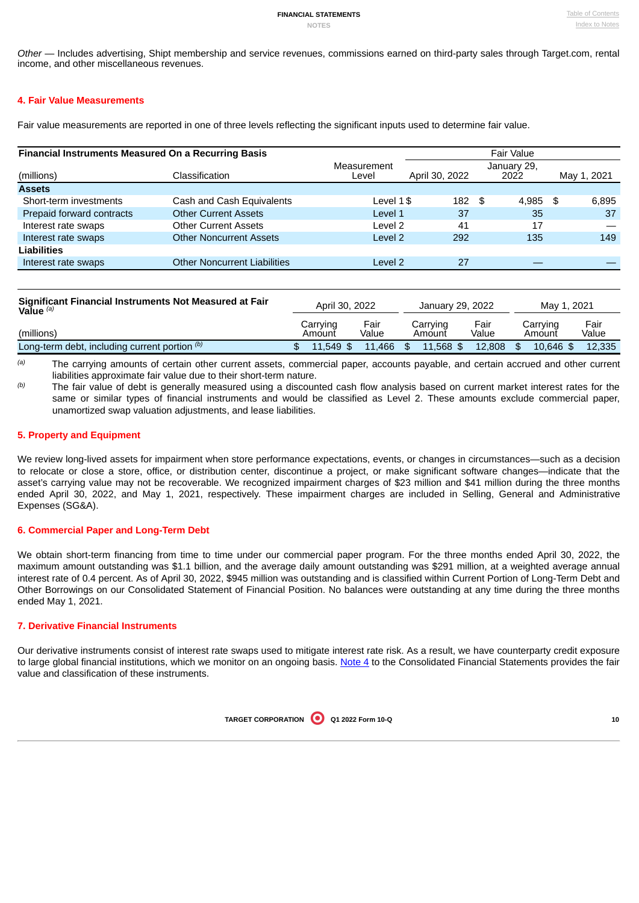*Other* — Includes advertising, Shipt membership and service revenues, commissions earned on third-party sales through Target.com, rental income, and other miscellaneous revenues.

## <span id="page-11-0"></span>**4. Fair Value Measurements**

Fair value measurements are reported in one of three levels reflecting the significant inputs used to determine fair value.

| <b>Financial Instruments Measured On a Recurring Basis</b> |                                     |                      | Fair Value     |                     |             |  |  |  |  |  |
|------------------------------------------------------------|-------------------------------------|----------------------|----------------|---------------------|-------------|--|--|--|--|--|
| (millions)                                                 | Classification                      | Measurement<br>Level | April 30, 2022 | January 29,<br>2022 | May 1, 2021 |  |  |  |  |  |
| <b>Assets</b>                                              |                                     |                      |                |                     |             |  |  |  |  |  |
| Short-term investments                                     | Cash and Cash Equivalents           | Level $1$ \$         | 182 \$         | 4,985 \$            | 6,895       |  |  |  |  |  |
| Prepaid forward contracts                                  | <b>Other Current Assets</b>         | Level 1              | 37             | 35                  | 37          |  |  |  |  |  |
| Interest rate swaps                                        | <b>Other Current Assets</b>         | Level 2              | 41             | 17                  |             |  |  |  |  |  |
| Interest rate swaps                                        | <b>Other Noncurrent Assets</b>      | Level 2              | 292            | 135                 | 149         |  |  |  |  |  |
| Liabilities                                                |                                     |                      |                |                     |             |  |  |  |  |  |
| Interest rate swaps                                        | <b>Other Noncurrent Liabilities</b> | Level 2              | 27             |                     |             |  |  |  |  |  |

| Significant Financial Instruments Not Measured at Fair<br>Value $(a)$ |                    | April 30, 2022<br>January 29, 2022 |                    | May 1, 2021   |                    |               |
|-----------------------------------------------------------------------|--------------------|------------------------------------|--------------------|---------------|--------------------|---------------|
| (millions)                                                            | Carrying<br>Amount | Fair<br>Value                      | Carrving<br>Amount | Fair<br>Value | Carrying<br>Amount | Fair<br>Value |
| Long-term debt, including current portion $(0)$                       | $11.549$ \$        | 11.466                             | $11.568$ \$        | 12.808        | 10.646 \$          | 12.335        |

The carrying amounts of certain other current assets, commercial paper, accounts payable, and certain accrued and other current liabilities approximate fair value due to their short-term nature. *(a)*

The fair value of debt is generally measured using a discounted cash flow analysis based on current market interest rates for the same or similar types of financial instruments and would be classified as Level 2. These amounts exclude commercial paper, unamortized swap valuation adjustments, and lease liabilities. *(b)*

## <span id="page-11-1"></span>**5. Property and Equipment**

We review long-lived assets for impairment when store performance expectations, events, or changes in circumstances—such as a decision to relocate or close a store, office, or distribution center, discontinue a project, or make significant software changes—indicate that the asset's carrying value may not be recoverable. We recognized impairment charges of \$23 million and \$41 million during the three months ended April 30, 2022, and May 1, 2021, respectively. These impairment charges are included in Selling, General and Administrative Expenses (SG&A).

### <span id="page-11-2"></span>**6. Commercial Paper and Long-Term Debt**

We obtain short-term financing from time to time under our commercial paper program. For the three months ended April 30, 2022, the maximum amount outstanding was \$1.1 billion, and the average daily amount outstanding was \$291 million, at a weighted average annual interest rate of 0.4 percent. As of April 30, 2022, \$945 million was outstanding and is classified within Current Portion of Long-Term Debt and Other Borrowings on our Consolidated Statement of Financial Position. No balances were outstanding at any time during the three months ended May 1, 2021.

## <span id="page-11-3"></span>**7. Derivative Financial Instruments**

Our derivative instruments consist of interest rate swaps used to mitigate interest rate risk. As a result, we have counterparty credit exposure to large global financial institutions, which we monitor on an ongoing basis. [Note](#page-11-0) 4 to the Consolidated Financial Statements provides the fair value and classification of these instruments.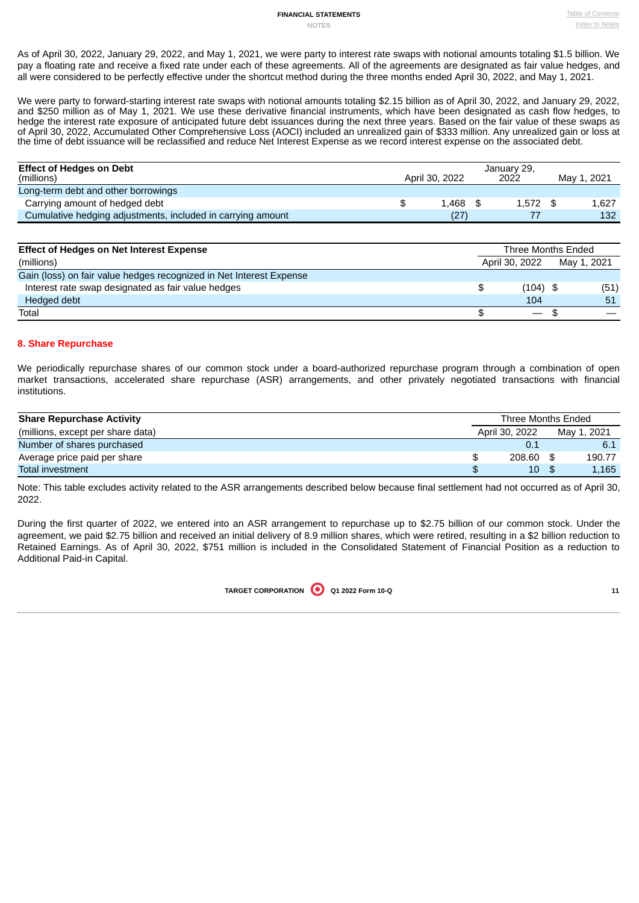# **FINANCIAL STATEMENTS Table of [Contents](#page-0-0)**

As of April 30, 2022, January 29, 2022, and May 1, 2021, we were party to interest rate swaps with notional amounts totaling \$1.5 billion. We pay a floating rate and receive a fixed rate under each of these agreements. All of the agreements are designated as fair value hedges, and all were considered to be perfectly effective under the shortcut method during the three months ended April 30, 2022, and May 1, 2021.

We were party to forward-starting interest rate swaps with notional amounts totaling \$2.15 billion as of April 30, 2022, and January 29, 2022, and \$250 million as of May 1, 2021. We use these derivative financial instruments, which have been designated as cash flow hedges, to hedge the interest rate exposure of anticipated future debt issuances during the next three years. Based on the fair value of these swaps as of April 30, 2022, Accumulated Other Comprehensive Loss (AOCI) included an unrealized gain of \$333 million. Any unrealized gain or loss at the time of debt issuance will be reclassified and reduce Net Interest Expense as we record interest expense on the associated debt.

| <b>Effect of Hedges on Debt</b><br>(millions)               | April 30, 2022 | January 29,<br>2022 | May 1, 2021 |
|-------------------------------------------------------------|----------------|---------------------|-------------|
| Long-term debt and other borrowings                         |                |                     |             |
| Carrying amount of hedged debt                              | 1.468          | $1.572$ \$          | 1.627       |
| Cumulative hedging adjustments, included in carrying amount | (27)           |                     | 132         |

| <b>Effect of Hedges on Net Interest Expense</b>                     | Three Months Ended       |             |      |  |
|---------------------------------------------------------------------|--------------------------|-------------|------|--|
| (millions)                                                          | April 30, 2022           | May 1, 2021 |      |  |
| Gain (loss) on fair value hedges recognized in Net Interest Expense |                          |             |      |  |
| Interest rate swap designated as fair value hedges                  | \$<br>$(104)$ \$         |             | (51) |  |
| Hedged debt                                                         | 104                      |             | 51   |  |
| Total                                                               | $\overline{\phantom{a}}$ |             |      |  |

## <span id="page-12-0"></span>**8. Share Repurchase**

We periodically repurchase shares of our common stock under a board-authorized repurchase program through a combination of open market transactions, accelerated share repurchase (ASR) arrangements, and other privately negotiated transactions with financial institutions.

| <b>Share Repurchase Activity</b>  | Three Months Ended |  |             |  |
|-----------------------------------|--------------------|--|-------------|--|
| (millions, except per share data) | April 30, 2022     |  | Mav 1, 2021 |  |
| Number of shares purchased        | 0.1                |  | 6.1         |  |
| Average price paid per share      | 208.60             |  | 190.77      |  |
| Total investment                  | 10                 |  | 1,165       |  |

Note: This table excludes activity related to the ASR arrangements described below because final settlement had not occurred as of April 30, 2022.

<span id="page-12-1"></span>During the first quarter of 2022, we entered into an ASR arrangement to repurchase up to \$2.75 billion of our common stock. Under the agreement, we paid \$2.75 billion and received an initial delivery of 8.9 million shares, which were retired, resulting in a \$2 billion reduction to Retained Earnings. As of April 30, 2022, \$751 million is included in the Consolidated Statement of Financial Position as a reduction to Additional Paid-in Capital.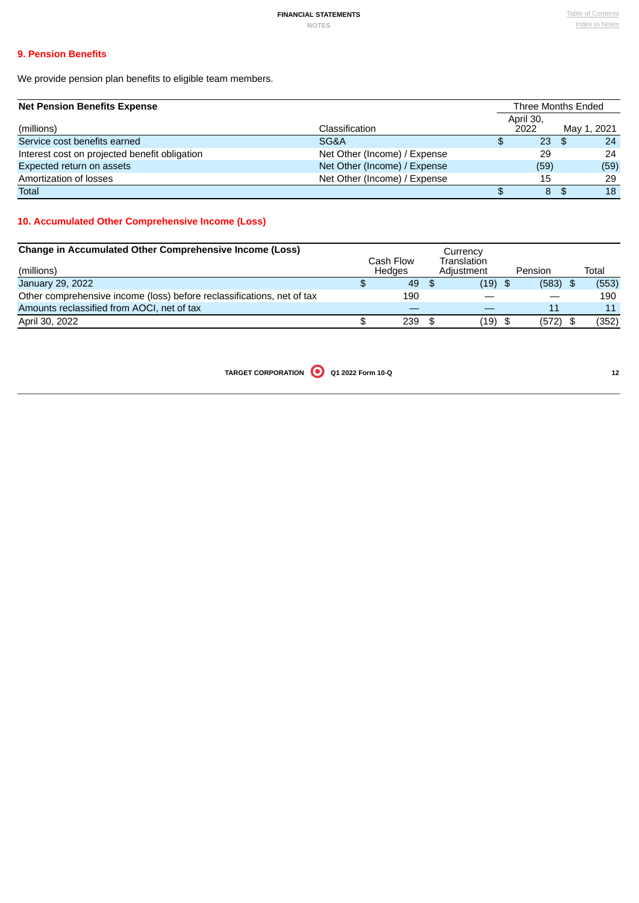# **9. Pension Benefits**

We provide pension plan benefits to eligible team members.

| <b>Net Pension Benefits Expense</b> |
|-------------------------------------|
|-------------------------------------|

| <b>Net Pension Benefits Expense</b>           |                              |    |                   |  | Three Months Ended |
|-----------------------------------------------|------------------------------|----|-------------------|--|--------------------|
| (millions)                                    | Classification               |    | April 30,<br>2022 |  | May 1, 2021        |
| Service cost benefits earned                  | SG&A                         | \$ | $23 \quad$ \$     |  | 24                 |
| Interest cost on projected benefit obligation | Net Other (Income) / Expense |    | 29                |  | 24                 |
| Expected return on assets                     | Net Other (Income) / Expense |    | (59)              |  | (59)               |
| Amortization of losses                        | Net Other (Income) / Expense |    | 15                |  | 29                 |
| Total                                         |                              |    | 8                 |  | 18                 |

# <span id="page-13-1"></span>**10. Accumulated Other Comprehensive Income (Loss)**

<span id="page-13-0"></span>

| <b>Change in Accumulated Other Comprehensive Income (Loss)</b><br>(millions) | Cash Flow<br>Hedges |     | Currency<br>Translation<br>Adjustment | Pension    | Total |
|------------------------------------------------------------------------------|---------------------|-----|---------------------------------------|------------|-------|
| January 29, 2022                                                             | 49                  | -\$ | $(19)$ \$                             | $(583)$ \$ | (553) |
| Other comprehensive income (loss) before reclassifications, net of tax       | 190                 |     |                                       |            | 190   |
| Amounts reclassified from AOCI, net of tax                                   |                     |     |                                       | 11         | 11    |
| April 30, 2022                                                               | 239                 | \$  | $(19)$ \$                             | $(572)$ \$ | (352) |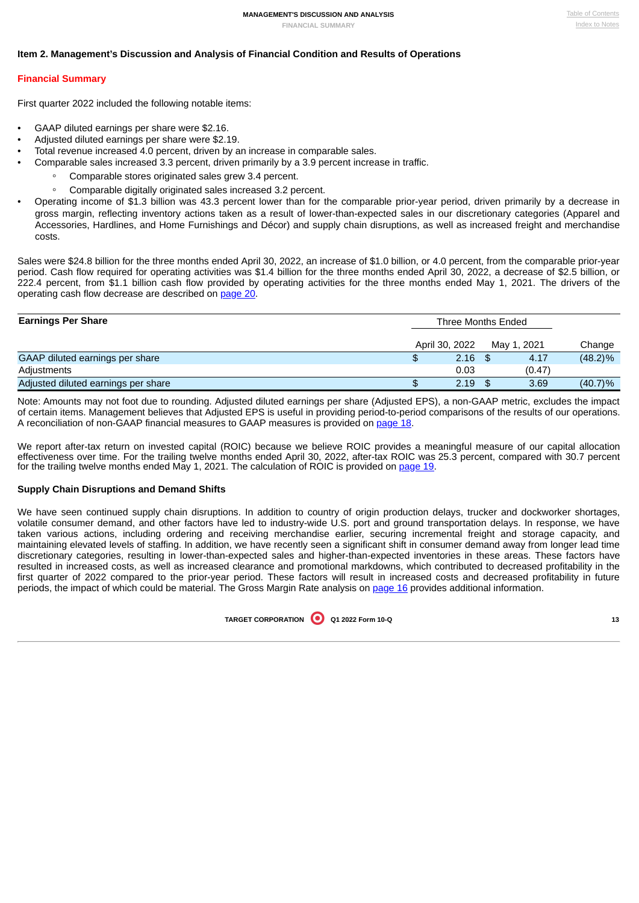### **Item 2. Management's Discussion and Analysis of Financial Condition and Results of Operations**

#### <span id="page-14-0"></span>**Financial Summary**

First quarter 2022 included the following notable items:

- GAAP diluted earnings per share were \$2.16.
- Adjusted diluted earnings per share were \$2.19.
- Total revenue increased 4.0 percent, driven by an increase in comparable sales.
- Comparable sales increased 3.3 percent, driven primarily by a 3.9 percent increase in traffic.
	- *◦* Comparable stores originated sales grew 3.4 percent.
	- *◦* Comparable digitally originated sales increased 3.2 percent.
- Operating income of \$1.3 billion was 43.3 percent lower than for the comparable prior-year period, driven primarily by a decrease in gross margin, reflecting inventory actions taken as a result of lower-than-expected sales in our discretionary categories (Apparel and Accessories, Hardlines, and Home Furnishings and Décor) and supply chain disruptions, as well as increased freight and merchandise costs.

Sales were \$24.8 billion for the three months ended April 30, 2022, an increase of \$1.0 billion, or 4.0 percent, from the comparable prior-year period. Cash flow required for operating activities was \$1.4 billion for the three months ended April 30, 2022, a decrease of \$2.5 billion, or 222.4 percent, from \$1.1 billion cash flow provided by operating activities for the three months ended May 1, 2021. The drivers of the operating cash flow decrease are described on [page](#page-20-0) 20.

| <b>Earnings Per Share</b>           | Three Months Ended |           |             |        |            |
|-------------------------------------|--------------------|-----------|-------------|--------|------------|
|                                     | April 30, 2022     |           | May 1, 2021 |        | Change     |
| GAAP diluted earnings per share     |                    | $2.16$ \$ |             | 4.17   | $(48.2)\%$ |
| Adjustments                         |                    | 0.03      |             | (0.47) |            |
| Adjusted diluted earnings per share |                    | 2.19      |             | 3.69   | $(40.7)\%$ |

Note: Amounts may not foot due to rounding. Adjusted diluted earnings per share (Adjusted EPS), a non-GAAP metric, excludes the impact of certain items. Management believes that Adjusted EPS is useful in providing period-to-period comparisons of the results of our operations. A reconciliation of non-GAAP financial measures to GAAP measures is provided on [page](#page-18-0) 18.

We report after-tax return on invested capital (ROIC) because we believe ROIC provides a meaningful measure of our capital allocation effectiveness over time. For the trailing twelve months ended April 30, 2022, after-tax ROIC was 25.3 percent, compared with 30.7 percent for the trailing twelve months ended May 1, 2021. The calculation of ROIC is provided on [page](#page-19-0) 19.

#### **Supply Chain Disruptions and Demand Shifts**

We have seen continued supply chain disruptions. In addition to country of origin production delays, trucker and dockworker shortages, volatile consumer demand, and other factors have led to industry-wide U.S. port and ground transportation delays. In response, we have taken various actions, including ordering and receiving merchandise earlier, securing incremental freight and storage capacity, and maintaining elevated levels of staffing. In addition, we have recently seen a significant shift in consumer demand away from longer lead time discretionary categories, resulting in lower-than-expected sales and higher-than-expected inventories in these areas. These factors have resulted in increased costs, as well as increased clearance and promotional markdowns, which contributed to decreased profitability in the first quarter of 2022 compared to the prior-year period. These factors will result in increased costs and decreased profitability in future periods, the impact of which could be material. The Gross Margin Rate analysis on [page](#page-16-0) 16 provides additional information.

| TARGET CORPORATION 0 01 2022 Form 10-Q |  |  |
|----------------------------------------|--|--|
|----------------------------------------|--|--|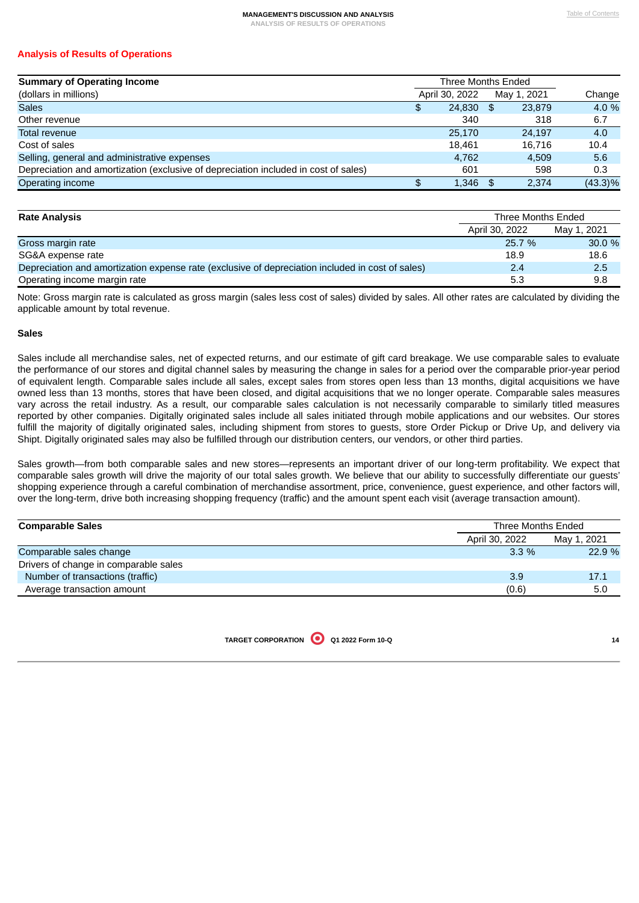# **Analysis of Results of Operations**

| <b>Summary of Operating Income</b>                                                  | Three Months Ended |                |      |             |            |
|-------------------------------------------------------------------------------------|--------------------|----------------|------|-------------|------------|
| (dollars in millions)                                                               |                    | April 30, 2022 |      | May 1, 2021 | Change     |
| <b>Sales</b>                                                                        | £.                 | 24,830         | - \$ | 23,879      | 4.0 %      |
| Other revenue                                                                       |                    | 340            |      | 318         | 6.7        |
| Total revenue                                                                       |                    | 25,170         |      | 24.197      | 4.0        |
| Cost of sales                                                                       |                    | 18.461         |      | 16.716      | 10.4       |
| Selling, general and administrative expenses                                        |                    | 4.762          |      | 4.509       | 5.6        |
| Depreciation and amortization (exclusive of depreciation included in cost of sales) |                    | 601            |      | 598         | 0.3        |
| Operating income                                                                    | \$.                | 1,346          | - \$ | 2.374       | $(43.3)\%$ |

| <b>Rate Analysis</b>                                                                             | Three Months Ended |             |  |
|--------------------------------------------------------------------------------------------------|--------------------|-------------|--|
|                                                                                                  | April 30, 2022     | May 1, 2021 |  |
| Gross margin rate                                                                                | 25.7 %             | 30.0%       |  |
| SG&A expense rate                                                                                | 18.9               | 18.6        |  |
| Depreciation and amortization expense rate (exclusive of depreciation included in cost of sales) | 2.4                | 2.5         |  |
| Operating income margin rate                                                                     | 5.3                | 9.8         |  |

Note: Gross margin rate is calculated as gross margin (sales less cost of sales) divided by sales. All other rates are calculated by dividing the applicable amount by total revenue.

#### **Sales**

Sales include all merchandise sales, net of expected returns, and our estimate of gift card breakage. We use comparable sales to evaluate the performance of our stores and digital channel sales by measuring the change in sales for a period over the comparable prior-year period of equivalent length. Comparable sales include all sales, except sales from stores open less than 13 months, digital acquisitions we have owned less than 13 months, stores that have been closed, and digital acquisitions that we no longer operate. Comparable sales measures vary across the retail industry. As a result, our comparable sales calculation is not necessarily comparable to similarly titled measures reported by other companies. Digitally originated sales include all sales initiated through mobile applications and our websites. Our stores fulfill the majority of digitally originated sales, including shipment from stores to guests, store Order Pickup or Drive Up, and delivery via Shipt. Digitally originated sales may also be fulfilled through our distribution centers, our vendors, or other third parties.

Sales growth—from both comparable sales and new stores—represents an important driver of our long-term profitability. We expect that comparable sales growth will drive the majority of our total sales growth. We believe that our ability to successfully differentiate our guests' shopping experience through a careful combination of merchandise assortment, price, convenience, guest experience, and other factors will, over the long-term, drive both increasing shopping frequency (traffic) and the amount spent each visit (average transaction amount).

| <b>Comparable Sales</b>               | Three Months Ended |             |
|---------------------------------------|--------------------|-------------|
|                                       | April 30, 2022     | May 1, 2021 |
| Comparable sales change               | $3.3\%$            | 22.9%       |
| Drivers of change in comparable sales |                    |             |
| Number of transactions (traffic)      | 3.9                | 17.1        |
| Average transaction amount            | (0.6)              | 5.0         |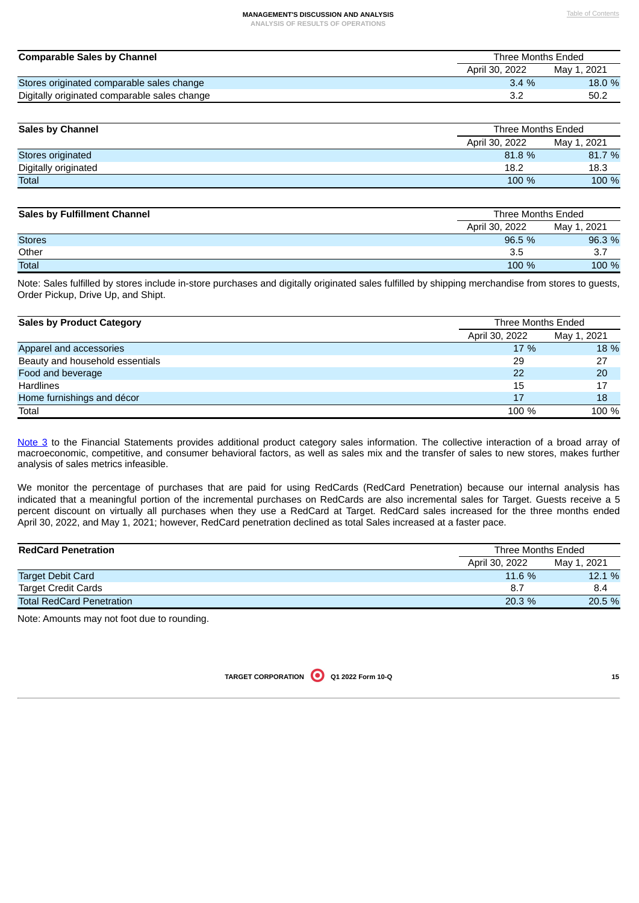#### **MANAGEMENT'S DISCUSSION AND ANALYSIS Table of [Contents](#page-0-0)**

**ANALYSIS OF RESULTS OF OPERATIONS**

| <b>Comparable Sales by Channel</b>           | Three Months Ended |             |
|----------------------------------------------|--------------------|-------------|
|                                              | April 30, 2022     | May 1, 2021 |
| Stores originated comparable sales change    | $3.4\%$            | 18.0 %      |
| Digitally originated comparable sales change |                    | 50.2        |

| <b>Sales by Channel</b> |                | Three Months Ended |  |  |
|-------------------------|----------------|--------------------|--|--|
|                         | April 30, 2022 | May 1, 2021        |  |  |
| Stores originated       | 81.8%          | 81.7 %             |  |  |
| Digitally originated    | 18.2           | 18.3               |  |  |
| <b>Total</b>            | 100 %          | 100 %              |  |  |

| <b>Sales by Fulfillment Channel</b> |                | Three Months Ended |  |
|-------------------------------------|----------------|--------------------|--|
|                                     | April 30, 2022 | May 1, 2021        |  |
| <b>Stores</b>                       | 96.5%          | 96.3 %             |  |
| Other                               | 3.5            | 3.7                |  |
| <b>Total</b>                        | 100 %          | 100 %              |  |

Note: Sales fulfilled by stores include in-store purchases and digitally originated sales fulfilled by shipping merchandise from stores to guests, Order Pickup, Drive Up, and Shipt.

| <b>Sales by Product Category</b> |                | Three Months Ended |  |  |
|----------------------------------|----------------|--------------------|--|--|
|                                  | April 30, 2022 | May 1, 2021        |  |  |
| Apparel and accessories          | 17 %           | 18 %               |  |  |
| Beauty and household essentials  | 29             | 27                 |  |  |
| Food and beverage                | 22             | 20                 |  |  |
| <b>Hardlines</b>                 | 15             | 17                 |  |  |
| Home furnishings and décor       | 17             | 18                 |  |  |
| Total                            | 100 %          | 100 %              |  |  |

[Note](#page-9-2) 3 to the Financial Statements provides additional product category sales information. The collective interaction of a broad array of macroeconomic, competitive, and consumer behavioral factors, as well as sales mix and the transfer of sales to new stores, makes further analysis of sales metrics infeasible.

We monitor the percentage of purchases that are paid for using RedCards (RedCard Penetration) because our internal analysis has indicated that a meaningful portion of the incremental purchases on RedCards are also incremental sales for Target. Guests receive a 5 percent discount on virtually all purchases when they use a RedCard at Target. RedCard sales increased for the three months ended April 30, 2022, and May 1, 2021; however, RedCard penetration declined as total Sales increased at a faster pace.

| <b>RedCard Penetration</b>       | Three Months Ended |             |  |
|----------------------------------|--------------------|-------------|--|
|                                  | April 30, 2022     | May 1, 2021 |  |
| <b>Target Debit Card</b>         | 11.6 %             | 12.1 %      |  |
| <b>Target Credit Cards</b>       | 8.7                | 8.4         |  |
| <b>Total RedCard Penetration</b> | 20.3%              | 20.5 %      |  |

<span id="page-16-0"></span>Note: Amounts may not foot due to rounding.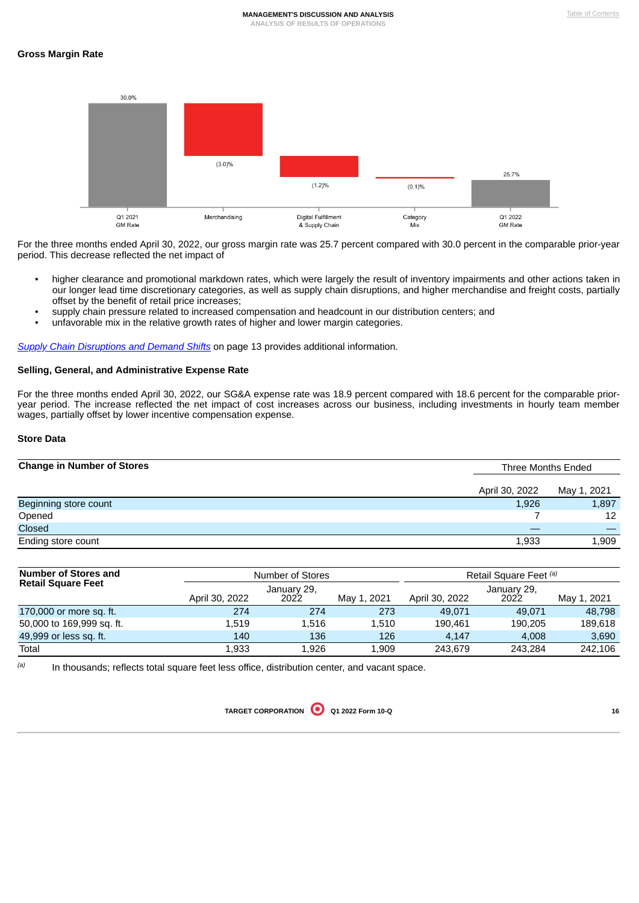



For the three months ended April 30, 2022, our gross margin rate was 25.7 percent compared with 30.0 percent in the comparable prior-year period. This decrease reflected the net impact of

- higher clearance and promotional markdown rates, which were largely the result of inventory impairments and other actions taken in our longer lead time discretionary categories, as well as supply chain disruptions, and higher merchandise and freight costs, partially offset by the benefit of retail price increases;
- supply chain pressure related to increased compensation and headcount in our distribution centers; and
- unfavorable mix in the relative growth rates of higher and lower margin categories.

*Supply Chain [Disruptions](#page-14-0) and Demand Shifts* on page 13 provides additional information.

## **Selling, General, and Administrative Expense Rate**

For the three months ended April 30, 2022, our SG&A expense rate was 18.9 percent compared with 18.6 percent for the comparable prioryear period. The increase reflected the net impact of cost increases across our business, including investments in hourly team member wages, partially offset by lower incentive compensation expense.

### **Store Data**

| <b>Change in Number of Stores</b> |                | Three Months Ended |  |
|-----------------------------------|----------------|--------------------|--|
|                                   | April 30, 2022 | May 1, 2021        |  |
| Beginning store count             | 1,926          | 1,897              |  |
| Opened                            |                | 12                 |  |
| Closed                            |                |                    |  |
| Ending store count                | 1,933          | 1,909              |  |

| <b>Number of Stores and</b> |                | Number of Stores    |             |                | Retail Square Feet (a) |             |  |
|-----------------------------|----------------|---------------------|-------------|----------------|------------------------|-------------|--|
| <b>Retail Square Feet</b>   | April 30, 2022 | January 29,<br>2022 | May 1, 2021 | April 30, 2022 | January 29,<br>2022    | May 1, 2021 |  |
| 170,000 or more sq. ft.     | 274            | 274                 | 273         | 49.071         | 49.071                 | 48.798      |  |
| 50,000 to 169,999 sq. ft.   | 1.519          | 1.516               | 1.510       | 190.461        | 190.205                | 189.618     |  |
| 49,999 or less sq. ft.      | 140            | 136                 | 126         | 4,147          | 4,008                  | 3,690       |  |
| Total                       | 1.933          | 1.926               | 1.909       | 243.679        | 243.284                | 242,106     |  |

In thousands; reflects total square feet less office, distribution center, and vacant space. *(a)*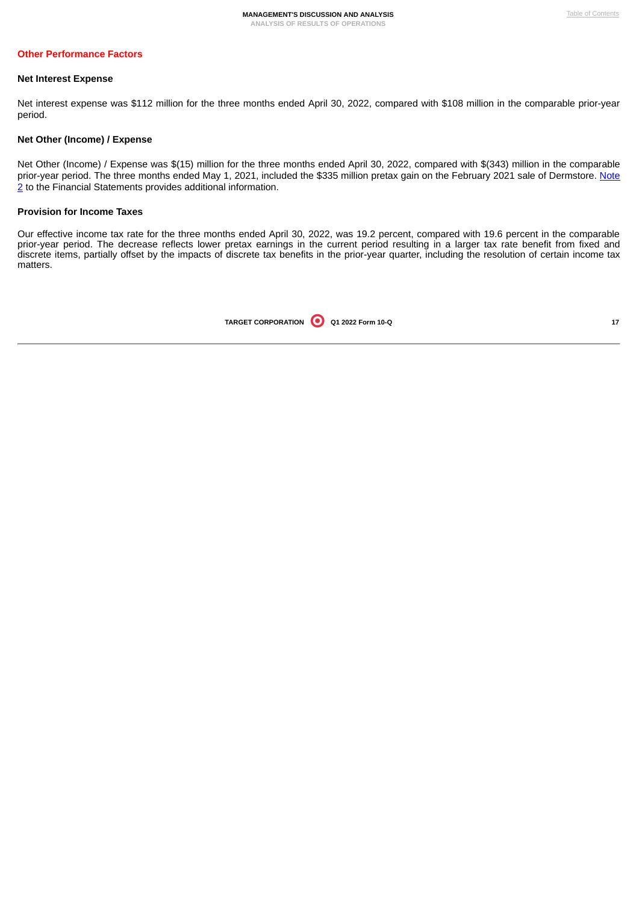#### **Net Interest Expense**

Net interest expense was \$112 million for the three months ended April 30, 2022, compared with \$108 million in the comparable prior-year period.

#### **Net Other (Income) / Expense**

Net Other (Income) / Expense was \$(15) million for the three months ended April 30, 2022, compared with \$(343) million in the comparable prior-year period. The three months ended May 1, 2021, included the \$335 million pretax gain on the February 2021 sale of Dermstore. Note 2 to the Financial Statements provides additional [information.](#page-9-1)

#### **Provision for Income Taxes**

<span id="page-18-0"></span>Our effective income tax rate for the three months ended April 30, 2022, was 19.2 percent, compared with 19.6 percent in the comparable prior-year period. The decrease reflects lower pretax earnings in the current period resulting in a larger tax rate benefit from fixed and discrete items, partially offset by the impacts of discrete tax benefits in the prior-year quarter, including the resolution of certain income tax matters.

| TARGET CORPORATION 0 Q1 2022 Form 10-Q |  |  |  |
|----------------------------------------|--|--|--|
|----------------------------------------|--|--|--|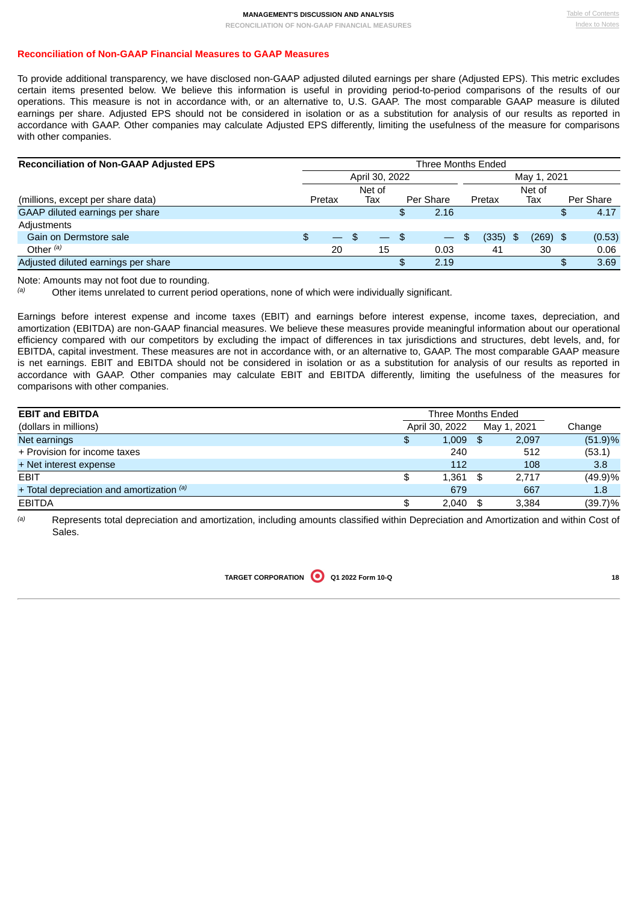## **Reconciliation of Non-GAAP Financial Measures to GAAP Measures**

To provide additional transparency, we have disclosed non-GAAP adjusted diluted earnings per share (Adjusted EPS). This metric excludes certain items presented below. We believe this information is useful in providing period-to-period comparisons of the results of our operations. This measure is not in accordance with, or an alternative to, U.S. GAAP. The most comparable GAAP measure is diluted earnings per share. Adjusted EPS should not be considered in isolation or as a substitution for analysis of our results as reported in accordance with GAAP. Other companies may calculate Adjusted EPS differently, limiting the usefulness of the measure for comparisons with other companies.

| <b>Reconciliation of Non-GAAP Adjusted EPS</b> |    | Three Months Ended |  |                |     |                          |              |  |             |            |
|------------------------------------------------|----|--------------------|--|----------------|-----|--------------------------|--------------|--|-------------|------------|
|                                                |    |                    |  | April 30, 2022 |     |                          |              |  | May 1, 2021 |            |
|                                                |    |                    |  | Net of         |     |                          |              |  | Net of      |            |
| (millions, except per share data)              |    | Pretax             |  | Тах            |     | Per Share                | Pretax       |  | Тах         | Per Share  |
| GAAP diluted earnings per share                |    |                    |  |                | \$  | 2.16                     |              |  |             | \$<br>4.17 |
| Adjustments                                    |    |                    |  |                |     |                          |              |  |             |            |
| Gain on Dermstore sale                         | \$ | $-$                |  | — \$           |     | $\overline{\phantom{m}}$ | (335)<br>\$. |  | $(269)$ \$  | (0.53)     |
| Other $(a)$                                    |    | 20                 |  | 15             |     | 0.03                     | 41           |  | 30          | 0.06       |
| Adjusted diluted earnings per share            |    |                    |  |                | \$. | 2.19                     |              |  |             | \$<br>3.69 |

Note: Amounts may not foot due to rounding.

Other items unrelated to current period operations, none of which were individually significant. *(a)*

Earnings before interest expense and income taxes (EBIT) and earnings before interest expense, income taxes, depreciation, and amortization (EBITDA) are non-GAAP financial measures. We believe these measures provide meaningful information about our operational efficiency compared with our competitors by excluding the impact of differences in tax jurisdictions and structures, debt levels, and, for EBITDA, capital investment. These measures are not in accordance with, or an alternative to, GAAP. The most comparable GAAP measure is net earnings. EBIT and EBITDA should not be considered in isolation or as a substitution for analysis of our results as reported in accordance with GAAP. Other companies may calculate EBIT and EBITDA differently, limiting the usefulness of the measures for comparisons with other companies.

| <b>EBIT and EBITDA</b>                        | Three Months Ended |                |     |             |            |
|-----------------------------------------------|--------------------|----------------|-----|-------------|------------|
| (dollars in millions)                         |                    | April 30, 2022 |     | May 1, 2021 | Change     |
| Net earnings                                  | \$                 | 1,009          | -SS | 2,097       | $(51.9)\%$ |
| + Provision for income taxes                  |                    | 240            |     | 512         | (53.1)     |
| + Net interest expense                        |                    | 112            |     | 108         | 3.8        |
| <b>EBIT</b>                                   | \$                 | $1,361$ \$     |     | 2.717       | $(49.9)\%$ |
| $+$ Total depreciation and amortization $(a)$ |                    | 679            |     | 667         | 1.8        |
| <b>EBITDA</b>                                 |                    | 2.040          | \$. | 3.384       | $(39.7)\%$ |

<span id="page-19-0"></span>Represents total depreciation and amortization, including amounts classified within Depreciation and Amortization and within Cost of Sales. *(a)*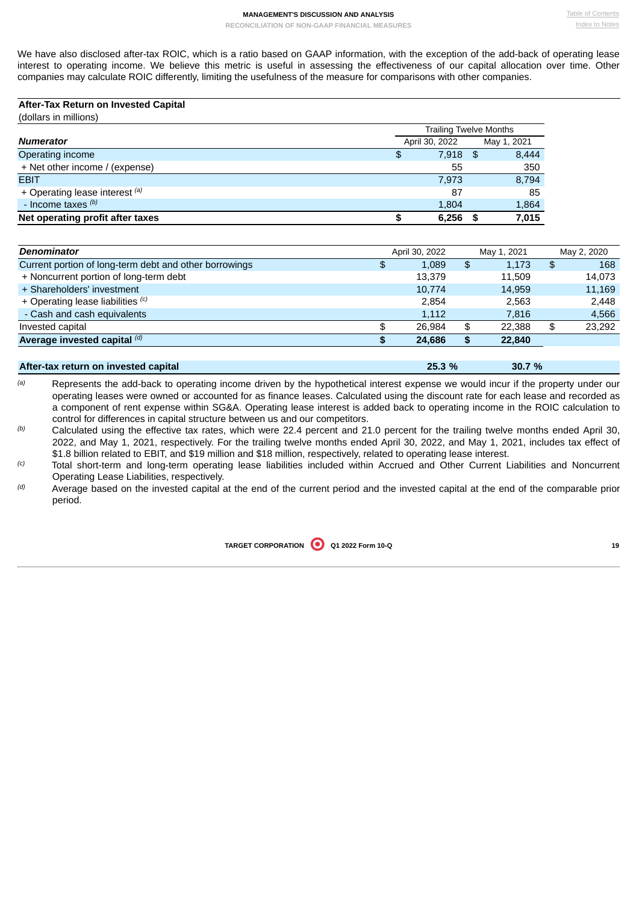We have also disclosed after-tax ROIC, which is a ratio based on GAAP information, with the exception of the add-back of operating lease interest to operating income. We believe this metric is useful in assessing the effectiveness of our capital allocation over time. Other companies may calculate ROIC differently, limiting the usefulness of the measure for comparisons with other companies.

| After-Tax Return on Invested Capital |    |                        |             |
|--------------------------------------|----|------------------------|-------------|
| (dollars in millions)                |    |                        |             |
|                                      |    | Trailing Twelve Months |             |
| <b>Numerator</b>                     |    | April 30, 2022         | May 1, 2021 |
| Operating income                     | \$ | $7,918$ \$             | 8,444       |
| + Net other income / (expense)       |    | 55                     | 350         |
| <b>EBIT</b>                          |    | 7,973                  | 8,794       |
| + Operating lease interest (a)       |    | 87                     | 85          |
| - Income taxes (b)                   |    | 1,804                  | 1,864       |
| Net operating profit after taxes     | S  | 6,256                  | 7,015       |

| <b>Denominator</b>                                     | April 30, 2022 |    | May 1, 2021 | May 2, 2020  |
|--------------------------------------------------------|----------------|----|-------------|--------------|
| Current portion of long-term debt and other borrowings | \$<br>1.089    | \$ | 1,173       | \$<br>168    |
| + Noncurrent portion of long-term debt                 | 13.379         |    | 11.509      | 14,073       |
| + Shareholders' investment                             | 10,774         |    | 14,959      | 11,169       |
| + Operating lease liabilities (c)                      | 2.854          |    | 2.563       | 2.448        |
| - Cash and cash equivalents                            | 1,112          |    | 7,816       | 4,566        |
| Invested capital                                       | 26.984         | \$ | 22.388      | \$<br>23.292 |
| Average invested capital $\binom{d}{b}$                | 24,686         | S  | 22,840      |              |
|                                                        |                |    |             |              |

| After-tax return on invested capital                                                                                                                                                                                          | 25.3 % | 30.7% |
|-------------------------------------------------------------------------------------------------------------------------------------------------------------------------------------------------------------------------------|--------|-------|
| .■ Conservation of the Conservation of the Conservation of the Conservation of the Conservation of the Conservation of the Conservation of the Conservation of the Conservation of the Conservation of the Conservation of th |        |       |

Represents the add-back to operating income driven by the hypothetical interest expense we would incur if the property under our operating leases were owned or accounted for as finance leases. Calculated using the discount rate for each lease and recorded as a component of rent expense within SG&A. Operating lease interest is added back to operating income in the ROIC calculation to control for differences in capital structure between us and our competitors. *(a)*

Calculated using the effective tax rates, which were 22.4 percent and 21.0 percent for the trailing twelve months ended April 30, 2022, and May 1, 2021, respectively. For the trailing twelve months ended April 30, 2022, and May 1, 2021, includes tax effect of \$1.8 billion related to EBIT, and \$19 million and \$18 million, respectively, related to operating lease interest. *(b)*

Total short-term and long-term operating lease liabilities included within Accrued and Other Current Liabilities and Noncurrent Operating Lease Liabilities, respectively. *(c)*

<span id="page-20-0"></span>Average based on the invested capital at the end of the current period and the invested capital at the end of the comparable prior period. *(d)*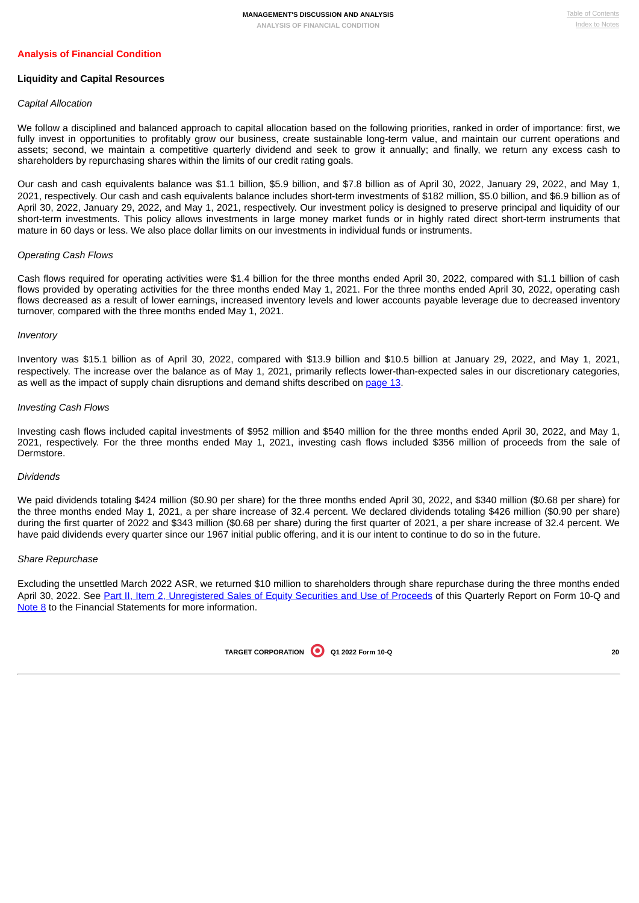### **Liquidity and Capital Resources**

### *Capital Allocation*

We follow a disciplined and balanced approach to capital allocation based on the following priorities, ranked in order of importance: first, we fully invest in opportunities to profitably grow our business, create sustainable long-term value, and maintain our current operations and assets; second, we maintain a competitive quarterly dividend and seek to grow it annually; and finally, we return any excess cash to shareholders by repurchasing shares within the limits of our credit rating goals.

Our cash and cash equivalents balance was \$1.1 billion, \$5.9 billion, and \$7.8 billion as of April 30, 2022, January 29, 2022, and May 1, 2021, respectively. Our cash and cash equivalents balance includes short-term investments of \$182 million, \$5.0 billion, and \$6.9 billion as of April 30, 2022, January 29, 2022, and May 1, 2021, respectively. Our investment policy is designed to preserve principal and liquidity of our short-term investments. This policy allows investments in large money market funds or in highly rated direct short-term instruments that mature in 60 days or less. We also place dollar limits on our investments in individual funds or instruments.

#### *Operating Cash Flows*

Cash flows required for operating activities were \$1.4 billion for the three months ended April 30, 2022, compared with \$1.1 billion of cash flows provided by operating activities for the three months ended May 1, 2021. For the three months ended April 30, 2022, operating cash flows decreased as a result of lower earnings, increased inventory levels and lower accounts payable leverage due to decreased inventory turnover, compared with the three months ended May 1, 2021.

### *Inventory*

Inventory was \$15.1 billion as of April 30, 2022, compared with \$13.9 billion and \$10.5 billion at January 29, 2022, and May 1, 2021, respectively. The increase over the balance as of May 1, 2021, primarily reflects lower-than-expected sales in our discretionary categories, as well as the impact of supply chain disruptions and demand shifts described on [page](#page-14-0) 13.

#### *Investing Cash Flows*

Investing cash flows included capital investments of \$952 million and \$540 million for the three months ended April 30, 2022, and May 1, 2021, respectively. For the three months ended May 1, 2021, investing cash flows included \$356 million of proceeds from the sale of Dermstore.

### *Dividends*

We paid dividends totaling \$424 million (\$0.90 per share) for the three months ended April 30, 2022, and \$340 million (\$0.68 per share) for the three months ended May 1, 2021, a per share increase of 32.4 percent. We declared dividends totaling \$426 million (\$0.90 per share) during the first quarter of 2022 and \$343 million (\$0.68 per share) during the first quarter of 2021, a per share increase of 32.4 percent. We have paid dividends every quarter since our 1967 initial public offering, and it is our intent to continue to do so in the future.

### *Share Repurchase*

Excluding the unsettled March 2022 ASR, we returned \$10 million to shareholders through share repurchase during the three months ended April 30, 2022. See Part II, Item 2, [Unregistered](#page-24-2) Sales of Equity Securities and Use of Proceeds of this Quarterly Report on Form 10-Q and [Note](#page-12-0) 8 to the Financial Statements for more information.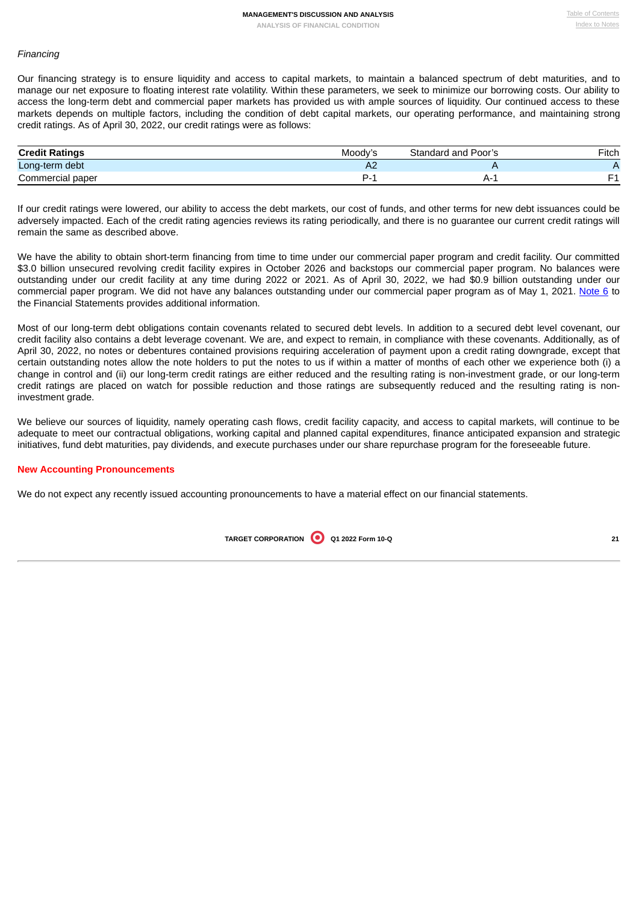## *Financing*

Our financing strategy is to ensure liquidity and access to capital markets, to maintain a balanced spectrum of debt maturities, and to manage our net exposure to floating interest rate volatility. Within these parameters, we seek to minimize our borrowing costs. Our ability to access the long-term debt and commercial paper markets has provided us with ample sources of liquidity. Our continued access to these markets depends on multiple factors, including the condition of debt capital markets, our operating performance, and maintaining strong credit ratings. As of April 30, 2022, our credit ratings were as follows:

| <b>Credit Ratings</b> | Moody' <sup>~</sup> | Poor's<br>Standard and | Fitch |
|-----------------------|---------------------|------------------------|-------|
| Long-term debt        | ∼                   |                        |       |
| Commercial paper      |                     | A-1                    |       |

If our credit ratings were lowered, our ability to access the debt markets, our cost of funds, and other terms for new debt issuances could be adversely impacted. Each of the credit rating agencies reviews its rating periodically, and there is no guarantee our current credit ratings will remain the same as described above.

We have the ability to obtain short-term financing from time to time under our commercial paper program and credit facility. Our committed \$3.0 billion unsecured revolving credit facility expires in October 2026 and backstops our commercial paper program. No balances were outstanding under our credit facility at any time during 2022 or 2021. As of April 30, 2022, we had \$0.9 billion outstanding under our commercial paper program. We did not have any balances outstanding under our commercial paper program as of May 1, 2021. [Note](#page-11-2) 6 to the Financial Statements provides additional information.

Most of our long-term debt obligations contain covenants related to secured debt levels. In addition to a secured debt level covenant, our credit facility also contains a debt leverage covenant. We are, and expect to remain, in compliance with these covenants. Additionally, as of April 30, 2022, no notes or debentures contained provisions requiring acceleration of payment upon a credit rating downgrade, except that certain outstanding notes allow the note holders to put the notes to us if within a matter of months of each other we experience both (i) a change in control and (ii) our long-term credit ratings are either reduced and the resulting rating is non-investment grade, or our long-term credit ratings are placed on watch for possible reduction and those ratings are subsequently reduced and the resulting rating is noninvestment grade.

We believe our sources of liquidity, namely operating cash flows, credit facility capacity, and access to capital markets, will continue to be adequate to meet our contractual obligations, working capital and planned capital expenditures, finance anticipated expansion and strategic initiatives, fund debt maturities, pay dividends, and execute purchases under our share repurchase program for the foreseeable future.

### **New Accounting Pronouncements**

We do not expect any recently issued accounting pronouncements to have a material effect on our financial statements.

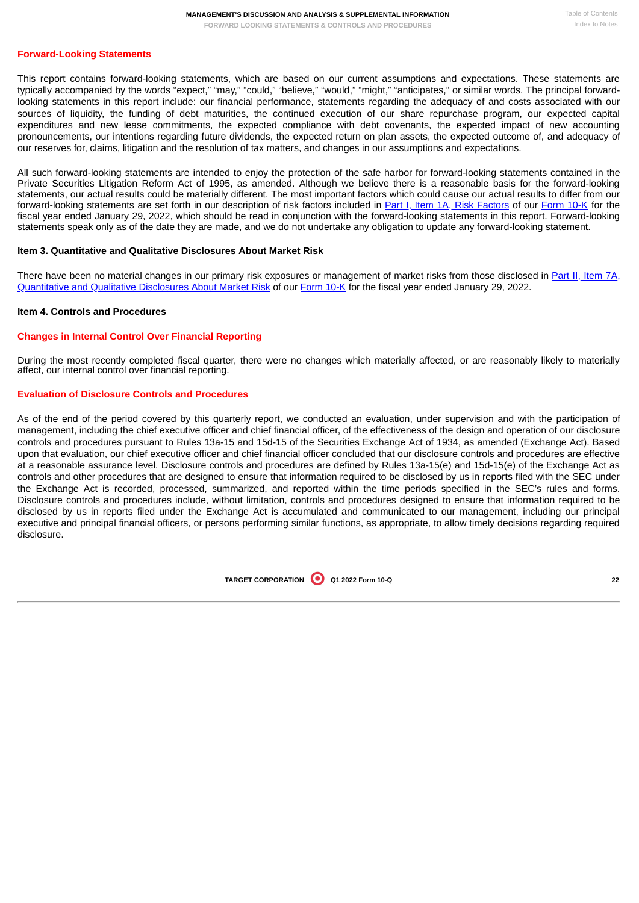### **Forward-Looking Statements**

This report contains forward-looking statements, which are based on our current assumptions and expectations. These statements are typically accompanied by the words "expect," "may," "could," "believe," "would," "might," "anticipates," or similar words. The principal forwardlooking statements in this report include: our financial performance, statements regarding the adequacy of and costs associated with our sources of liquidity, the funding of debt maturities, the continued execution of our share repurchase program, our expected capital expenditures and new lease commitments, the expected compliance with debt covenants, the expected impact of new accounting pronouncements, our intentions regarding future dividends, the expected return on plan assets, the expected outcome of, and adequacy of our reserves for, claims, litigation and the resolution of tax matters, and changes in our assumptions and expectations.

All such forward-looking statements are intended to enjoy the protection of the safe harbor for forward-looking statements contained in the Private Securities Litigation Reform Act of 1995, as amended. Although we believe there is a reasonable basis for the forward-looking statements, our actual results could be materially different. The most important factors which could cause our actual results to differ from our forward-looking statements are set forth in our description of risk factors included in Part I, Item 1A, Risk [Factors](https://www.sec.gov/ix?doc=/Archives/edgar/data/0000027419/000002741922000007/tgt-20220129.htm#ic3e4bf1571654b54a75e01746d337891_16) of our [Form](https://www.sec.gov/ix?doc=/Archives/edgar/data/0000027419/000002741922000007/tgt-20220129.htm#ic3e4bf1571654b54a75e01746d337891_7) 10-K for the fiscal year ended January 29, 2022, which should be read in conjunction with the forward-looking statements in this report. Forward-looking statements speak only as of the date they are made, and we do not undertake any obligation to update any forward-looking statement.

#### <span id="page-23-0"></span>**Item 3. Quantitative and Qualitative Disclosures About Market Risk**

There have been no material changes in our primary risk exposures or [management](https://www.sec.gov/ix?doc=/Archives/edgar/data/0000027419/000002741922000007/tgt-20220129.htm#ic3e4bf1571654b54a75e01746d337891_82) of market risks from those disclosed in Part II, Item 7A, Quantitative and Qualitative Disclosures About Market Risk of our [Form](https://www.sec.gov/ix?doc=/Archives/edgar/data/0000027419/000002741922000007/tgt-20220129.htm#ic3e4bf1571654b54a75e01746d337891_7) 10-K for the fiscal year ended January 29, 2022.

#### <span id="page-23-1"></span>**Item 4. Controls and Procedures**

#### **Changes in Internal Control Over Financial Reporting**

During the most recently completed fiscal quarter, there were no changes which materially affected, or are reasonably likely to materially affect, our internal control over financial reporting.

## **Evaluation of Disclosure Controls and Procedures**

<span id="page-23-2"></span>As of the end of the period covered by this quarterly report, we conducted an evaluation, under supervision and with the participation of management, including the chief executive officer and chief financial officer, of the effectiveness of the design and operation of our disclosure controls and procedures pursuant to Rules 13a-15 and 15d-15 of the Securities Exchange Act of 1934, as amended (Exchange Act). Based upon that evaluation, our chief executive officer and chief financial officer concluded that our disclosure controls and procedures are effective at a reasonable assurance level. Disclosure controls and procedures are defined by Rules 13a-15(e) and 15d-15(e) of the Exchange Act as controls and other procedures that are designed to ensure that information required to be disclosed by us in reports filed with the SEC under the Exchange Act is recorded, processed, summarized, and reported within the time periods specified in the SEC's rules and forms. Disclosure controls and procedures include, without limitation, controls and procedures designed to ensure that information required to be disclosed by us in reports filed under the Exchange Act is accumulated and communicated to our management, including our principal executive and principal financial officers, or persons performing similar functions, as appropriate, to allow timely decisions regarding required disclosure.

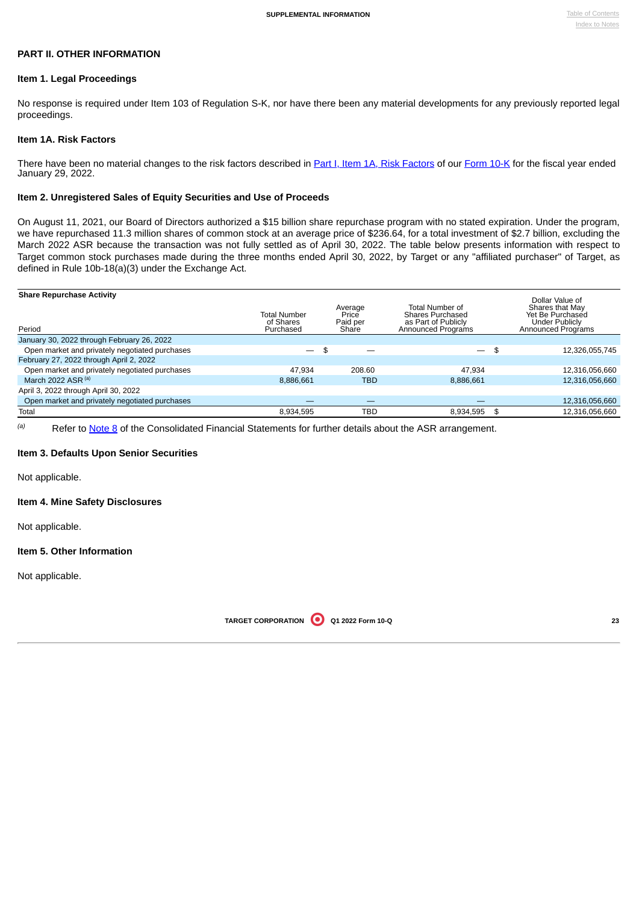## **PART II. OTHER INFORMATION**

#### <span id="page-24-0"></span>**Item 1. Legal Proceedings**

No response is required under Item 103 of Regulation S-K, nor have there been any material developments for any previously reported legal proceedings.

## <span id="page-24-1"></span>**Item 1A. Risk Factors**

There have been no material changes to the risk factors described in Part I, Item 1A, Risk [Factors](https://www.sec.gov/ix?doc=/Archives/edgar/data/0000027419/000002741922000007/tgt-20220129.htm#ic3e4bf1571654b54a75e01746d337891_16) of our [Form](https://www.sec.gov/ix?doc=/Archives/edgar/data/0000027419/000002741922000007/tgt-20220129.htm#ic3e4bf1571654b54a75e01746d337891_7) 10-K for the fiscal year ended January 29, 2022.

#### <span id="page-24-2"></span>**Item 2. Unregistered Sales of Equity Securities and Use of Proceeds**

On August 11, 2021, our Board of Directors authorized a \$15 billion share repurchase program with no stated expiration. Under the program, we have repurchased 11.3 million shares of common stock at an average price of \$236.64, for a total investment of \$2.7 billion, excluding the March 2022 ASR because the transaction was not fully settled as of April 30, 2022. The table below presents information with respect to Target common stock purchases made during the three months ended April 30, 2022, by Target or any "affiliated purchaser" of Target, as defined in Rule 10b-18(a)(3) under the Exchange Act.

| <b>Share Repurchase Activity</b><br>Period     | Average<br>Total Number<br>Price<br>of Shares<br>Paid per<br>Purchased<br>Share |            | Total Number of<br><b>Shares Purchased</b><br>as Part of Publicly<br>Announced Programs | Dollar Value of<br>Shares that May<br>Yet Be Purchased<br><b>Under Publicly</b><br>Announced Programs |                |  |
|------------------------------------------------|---------------------------------------------------------------------------------|------------|-----------------------------------------------------------------------------------------|-------------------------------------------------------------------------------------------------------|----------------|--|
| January 30, 2022 through February 26, 2022     |                                                                                 |            |                                                                                         |                                                                                                       |                |  |
| Open market and privately negotiated purchases |                                                                                 | \$         | $\overline{\phantom{0}}$                                                                | \$                                                                                                    | 12,326,055,745 |  |
| February 27, 2022 through April 2, 2022        |                                                                                 |            |                                                                                         |                                                                                                       |                |  |
| Open market and privately negotiated purchases | 47.934                                                                          | 208.60     | 47.934                                                                                  |                                                                                                       | 12,316,056,660 |  |
| March 2022 ASR $(a)$                           | 8.886.661                                                                       | TBD        | 8.886.661                                                                               |                                                                                                       | 12,316,056,660 |  |
| April 3, 2022 through April 30, 2022           |                                                                                 |            |                                                                                         |                                                                                                       |                |  |
| Open market and privately negotiated purchases |                                                                                 |            |                                                                                         |                                                                                                       | 12,316,056,660 |  |
| Total                                          | 8,934,595                                                                       | <b>TBD</b> | 8.934.595                                                                               | \$                                                                                                    | 12,316,056,660 |  |

Refer to [Note](#page-12-0) 8 of the Consolidated Financial Statements for further details about the ASR arrangement. *(a)*

### <span id="page-24-3"></span>**Item 3. Defaults Upon Senior Securities**

Not applicable.

#### <span id="page-24-4"></span>**Item 4. Mine Safety Disclosures**

Not applicable.

#### <span id="page-24-5"></span>**Item 5. Other Information**

<span id="page-24-6"></span>Not applicable.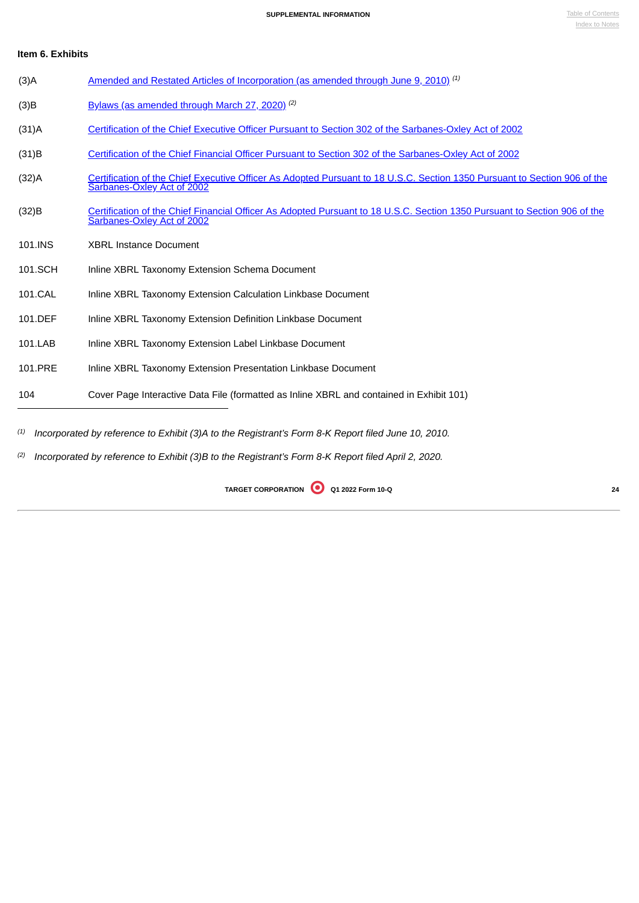# **Item 6. Exhibits**

| $(3)$ A  | Amended and Restated Articles of Incorporation (as amended through June 9, 2010) <sup>(1)</sup>                                                         |
|----------|---------------------------------------------------------------------------------------------------------------------------------------------------------|
| (3)B     | Bylaws (as amended through March 27, 2020). <sup>(2)</sup>                                                                                              |
| $(31)$ A | Certification of the Chief Executive Officer Pursuant to Section 302 of the Sarbanes-Oxley Act of 2002                                                  |
| (31)B    | Certification of the Chief Financial Officer Pursuant to Section 302 of the Sarbanes-Oxley Act of 2002                                                  |
| $(32)$ A | Certification of the Chief Executive Officer As Adopted Pursuant to 18 U.S.C. Section 1350 Pursuant to Section 906 of the<br>Sarbanes-Oxley Act of 2002 |
| (32)B    | Certification of the Chief Financial Officer As Adopted Pursuant to 18 U.S.C. Section 1350 Pursuant to Section 906 of the<br>Sarbanes-Oxley Act of 2002 |
| 101.INS  | <b>XBRL Instance Document</b>                                                                                                                           |
| 101.SCH  | Inline XBRL Taxonomy Extension Schema Document                                                                                                          |
| 101.CAL  | Inline XBRL Taxonomy Extension Calculation Linkbase Document                                                                                            |
| 101.DEF  | Inline XBRL Taxonomy Extension Definition Linkbase Document                                                                                             |
| 101.LAB  | Inline XBRL Taxonomy Extension Label Linkbase Document                                                                                                  |
| 101.PRE  | Inline XBRL Taxonomy Extension Presentation Linkbase Document                                                                                           |
| 104      | Cover Page Interactive Data File (formatted as Inline XBRL and contained in Exhibit 101)                                                                |
|          | $^{(1)}$ Incorporated by reference to Exhibit (3)A to the Registrant's Form 8-K Report filed June 10, 2010.                                             |

<span id="page-25-0"></span>(2) Incorporated by reference to Exhibit (3)B to the Registrant's Form 8-K Report filed April 2, 2020.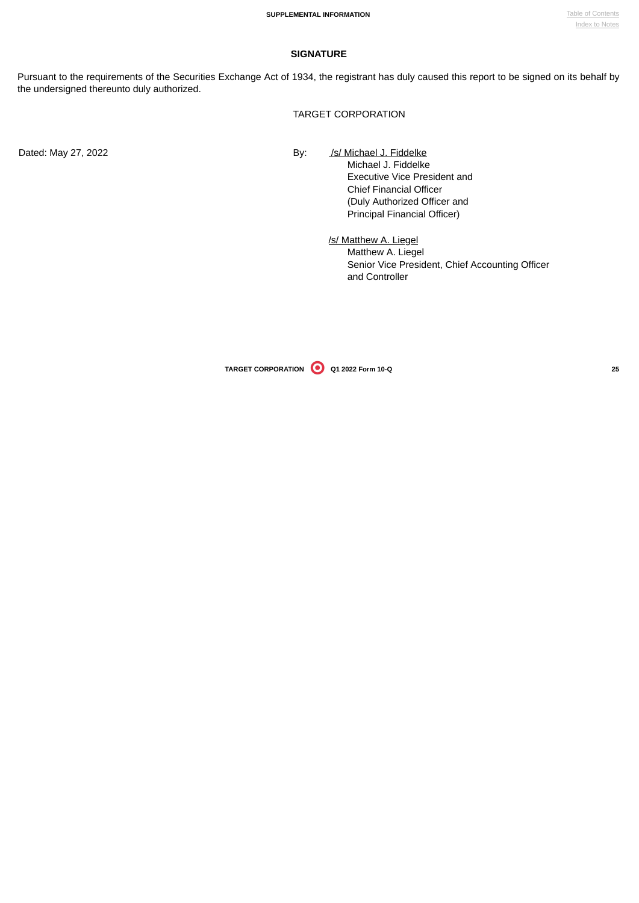## **SIGNATURE**

Pursuant to the requirements of the Securities Exchange Act of 1934, the registrant has duly caused this report to be signed on its behalf by the undersigned thereunto duly authorized.

TARGET CORPORATION

Dated: May 27, 2022 **By:** *Isl Michael J. Fiddelke* 

Michael J. Fiddelke Executive Vice President and Chief Financial Officer (Duly Authorized Officer and Principal Financial Officer)

/s/ Matthew A. Liegel Matthew A. Liegel Senior Vice President, Chief Accounting Officer and Controller

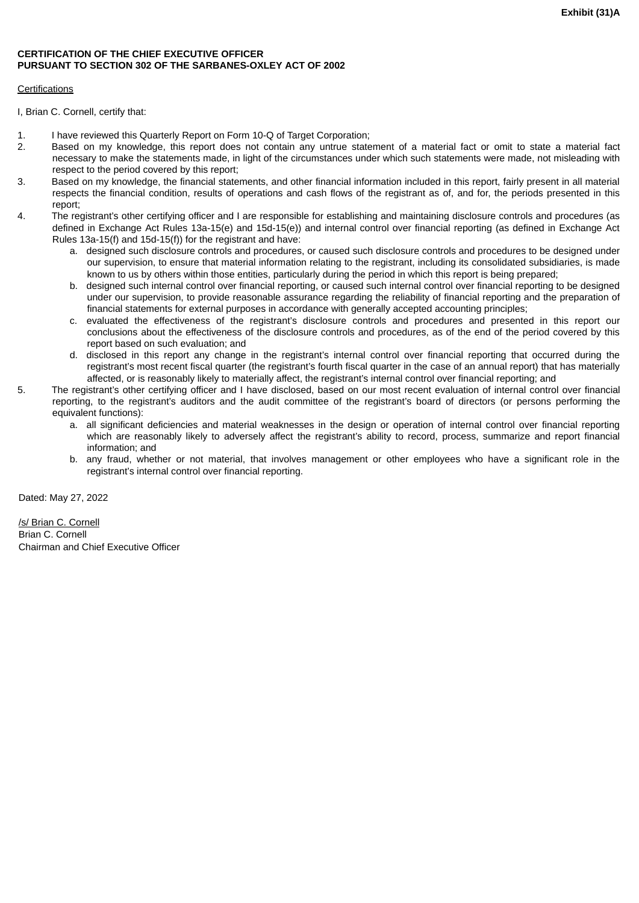## <span id="page-27-0"></span>**CERTIFICATION OF THE CHIEF EXECUTIVE OFFICER PURSUANT TO SECTION 302 OF THE SARBANES-OXLEY ACT OF 2002**

## Certifications

I, Brian C. Cornell, certify that:

- 1. I have reviewed this Quarterly Report on Form 10-Q of Target Corporation;
- 2. Based on my knowledge, this report does not contain any untrue statement of a material fact or omit to state a material fact necessary to make the statements made, in light of the circumstances under which such statements were made, not misleading with respect to the period covered by this report;
- 3. Based on my knowledge, the financial statements, and other financial information included in this report, fairly present in all material respects the financial condition, results of operations and cash flows of the registrant as of, and for, the periods presented in this report;
- 4. The registrant's other certifying officer and I are responsible for establishing and maintaining disclosure controls and procedures (as defined in Exchange Act Rules 13a-15(e) and 15d-15(e)) and internal control over financial reporting (as defined in Exchange Act Rules 13a-15(f) and 15d-15(f)) for the registrant and have:
	- a. designed such disclosure controls and procedures, or caused such disclosure controls and procedures to be designed under our supervision, to ensure that material information relating to the registrant, including its consolidated subsidiaries, is made known to us by others within those entities, particularly during the period in which this report is being prepared;
	- b. designed such internal control over financial reporting, or caused such internal control over financial reporting to be designed under our supervision, to provide reasonable assurance regarding the reliability of financial reporting and the preparation of financial statements for external purposes in accordance with generally accepted accounting principles;
	- c. evaluated the effectiveness of the registrant's disclosure controls and procedures and presented in this report our conclusions about the effectiveness of the disclosure controls and procedures, as of the end of the period covered by this report based on such evaluation; and
	- d. disclosed in this report any change in the registrant's internal control over financial reporting that occurred during the registrant's most recent fiscal quarter (the registrant's fourth fiscal quarter in the case of an annual report) that has materially affected, or is reasonably likely to materially affect, the registrant's internal control over financial reporting; and
- 5. The registrant's other certifying officer and I have disclosed, based on our most recent evaluation of internal control over financial reporting, to the registrant's auditors and the audit committee of the registrant's board of directors (or persons performing the equivalent functions):
	- a. all significant deficiencies and material weaknesses in the design or operation of internal control over financial reporting which are reasonably likely to adversely affect the registrant's ability to record, process, summarize and report financial information; and
	- b. any fraud, whether or not material, that involves management or other employees who have a significant role in the registrant's internal control over financial reporting.

Dated: May 27, 2022

/s/ Brian C. Cornell Brian C. Cornell Chairman and Chief Executive Officer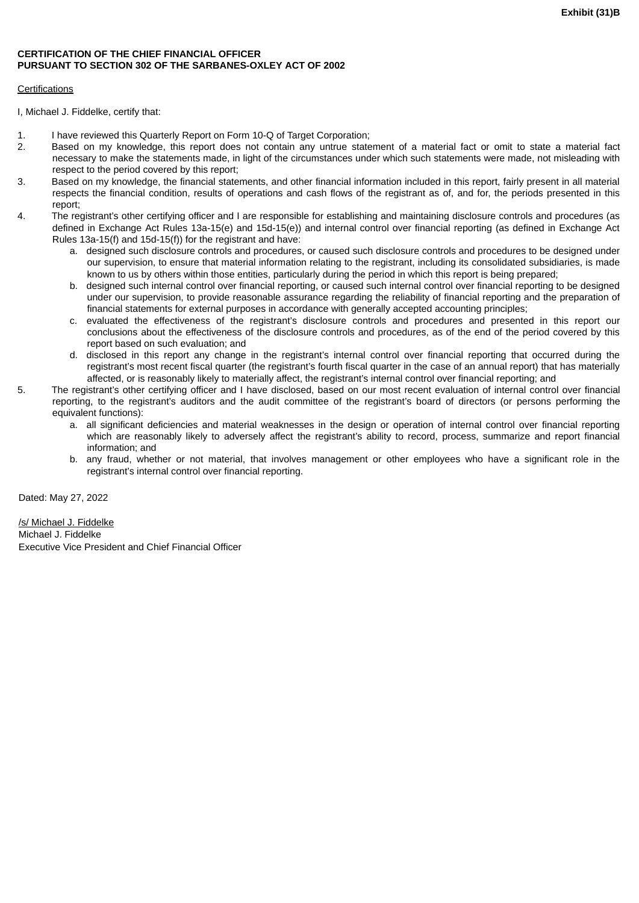## <span id="page-28-0"></span>**CERTIFICATION OF THE CHIEF FINANCIAL OFFICER PURSUANT TO SECTION 302 OF THE SARBANES-OXLEY ACT OF 2002**

## Certifications

I, Michael J. Fiddelke, certify that:

- 1. I have reviewed this Quarterly Report on Form 10-Q of Target Corporation;
- 2. Based on my knowledge, this report does not contain any untrue statement of a material fact or omit to state a material fact necessary to make the statements made, in light of the circumstances under which such statements were made, not misleading with respect to the period covered by this report;
- 3. Based on my knowledge, the financial statements, and other financial information included in this report, fairly present in all material respects the financial condition, results of operations and cash flows of the registrant as of, and for, the periods presented in this report;
- 4. The registrant's other certifying officer and I are responsible for establishing and maintaining disclosure controls and procedures (as defined in Exchange Act Rules 13a-15(e) and 15d-15(e)) and internal control over financial reporting (as defined in Exchange Act Rules 13a-15(f) and 15d-15(f)) for the registrant and have:
	- a. designed such disclosure controls and procedures, or caused such disclosure controls and procedures to be designed under our supervision, to ensure that material information relating to the registrant, including its consolidated subsidiaries, is made known to us by others within those entities, particularly during the period in which this report is being prepared;
	- b. designed such internal control over financial reporting, or caused such internal control over financial reporting to be designed under our supervision, to provide reasonable assurance regarding the reliability of financial reporting and the preparation of financial statements for external purposes in accordance with generally accepted accounting principles;
	- c. evaluated the effectiveness of the registrant's disclosure controls and procedures and presented in this report our conclusions about the effectiveness of the disclosure controls and procedures, as of the end of the period covered by this report based on such evaluation; and
	- d. disclosed in this report any change in the registrant's internal control over financial reporting that occurred during the registrant's most recent fiscal quarter (the registrant's fourth fiscal quarter in the case of an annual report) that has materially affected, or is reasonably likely to materially affect, the registrant's internal control over financial reporting; and
- 5. The registrant's other certifying officer and I have disclosed, based on our most recent evaluation of internal control over financial reporting, to the registrant's auditors and the audit committee of the registrant's board of directors (or persons performing the equivalent functions):
	- a. all significant deficiencies and material weaknesses in the design or operation of internal control over financial reporting which are reasonably likely to adversely affect the registrant's ability to record, process, summarize and report financial information; and
	- b. any fraud, whether or not material, that involves management or other employees who have a significant role in the registrant's internal control over financial reporting.

Dated: May 27, 2022

/s/ Michael J. Fiddelke Michael J. Fiddelke Executive Vice President and Chief Financial Officer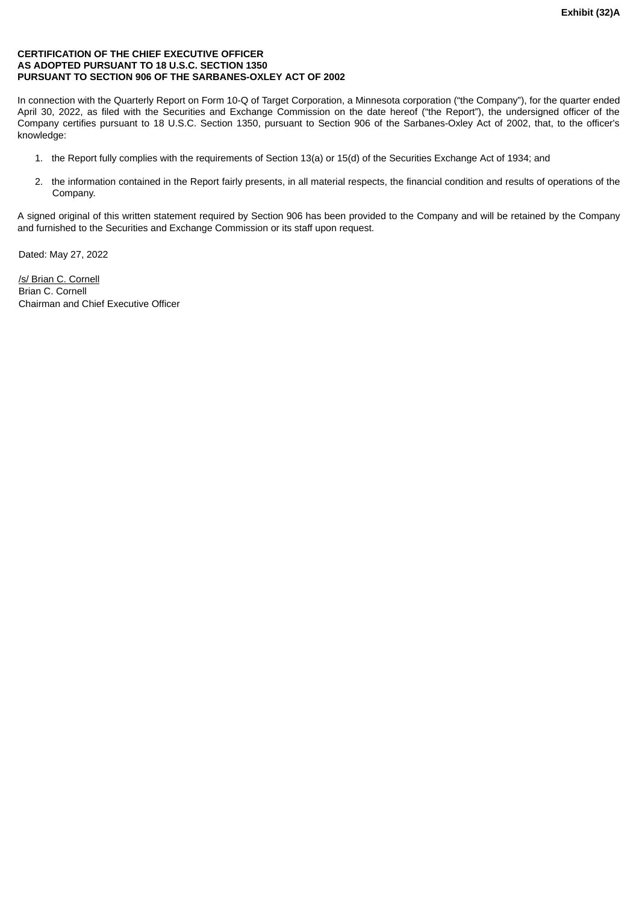## <span id="page-29-0"></span>**CERTIFICATION OF THE CHIEF EXECUTIVE OFFICER AS ADOPTED PURSUANT TO 18 U.S.C. SECTION 1350 PURSUANT TO SECTION 906 OF THE SARBANES-OXLEY ACT OF 2002**

In connection with the Quarterly Report on Form 10-Q of Target Corporation, a Minnesota corporation ("the Company"), for the quarter ended April 30, 2022, as filed with the Securities and Exchange Commission on the date hereof ("the Report"), the undersigned officer of the Company certifies pursuant to 18 U.S.C. Section 1350, pursuant to Section 906 of the Sarbanes-Oxley Act of 2002, that, to the officer's knowledge:

- 1. the Report fully complies with the requirements of Section 13(a) or 15(d) of the Securities Exchange Act of 1934; and
- 2. the information contained in the Report fairly presents, in all material respects, the financial condition and results of operations of the Company.

A signed original of this written statement required by Section 906 has been provided to the Company and will be retained by the Company and furnished to the Securities and Exchange Commission or its staff upon request.

Dated: May 27, 2022

/s/ Brian C. Cornell Brian C. Cornell Chairman and Chief Executive Officer